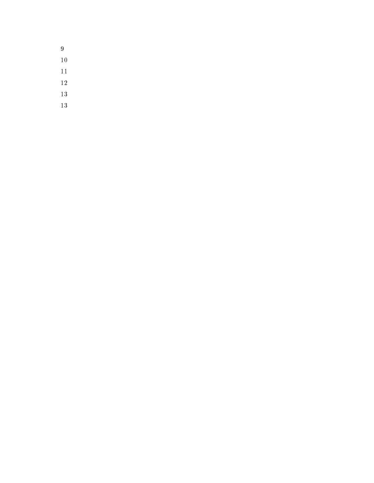- 
-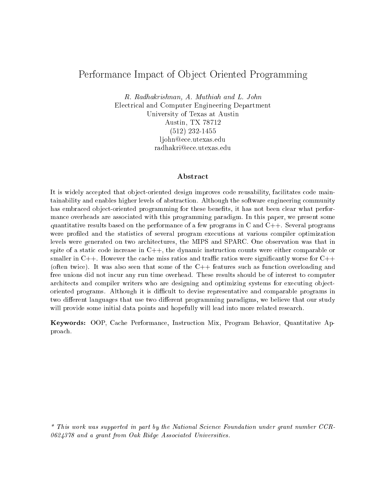# Performance Impact of Ob ject Oriented Programming

R. Radhakrishnan, A. Muthiah and L. John Electrical and Computer Engineering Department University of Texas at Austin Austin, TX 78712 (512) 232-1455 ljohn@ece.utexas.edu radhakri@ece.utexas.edu

# Abstract

It is widely accepted that object-oriented design improves code reusability, facilitates code maintainability and enables higher levels of abstraction. Although the software engineering community has embraced object-oriented programming for these benefits, it has not been clear what performance overheads are associated with this programming paradigm. In this paper, we present some quantitative results based on the performance of a few programs in C and  $C++$ . Several programs were profiled and the statistics of several program executions at various compiler optimization levels were generated on two architectures, the MIPS and SPARC. One observation was that in spite of a static code increase in  $C++$ , the dynamic instruction counts were either comparable or smaller in  $C++$ . However the cache miss ratios and traffic ratios were significantly worse for  $C++$ (often twice). It was also seen that some of the C++ features such as function overloading and free unions did not incur any run time overhead. These results should be of interest to computer architects and compiler writers who are designing and optimizing systems for executing objectoriented programs. Although it is difficult to devise representative and comparable programs in two different languages that use two different programming paradigms, we believe that our study will provide some initial data points and hopefully will lead into more related research.

Keywords: OOP, Cache Performance, Instruction Mix, Program Behavior, Quantitative Approach.

\* This work was supported in part by the National Science Foundation under grant number CCR-0624378 and a grant from Oak Ridge Associated Universities.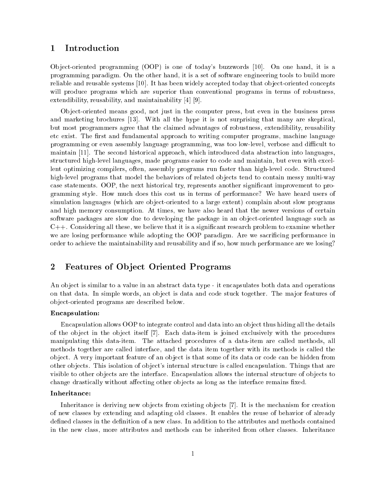#### 1Introduction

Object-oriented programming (OOP) is one of today's buzzwords [10]. On one hand, it is a programming paradigm. On the other hand, it is a set of software engineering tools to build more reliable and reusable systems [10]. It has been widely accepted today that object-oriented concepts will produce programs which are superior than conventional programs in terms of robustness, extendibility, reusability, and maintainability [4] [9].

Ob ject-oriented means good, not just in the computer press, but even in the business press and marketing brochures [13]. With all the hype it is not surprising that many are skeptical, but most programmers agree that the claimed advantages of robustness, extendibility, reusability etc exist. The first and fundamental approach to writing computer programs, machine language programming or even assembly language programming, was too low-level, verbose and dicult to maintain [11]. The second historical approach, which introduced data abstraction into languages, structured high-level languages, made programs easier to code and maintain, but even with excellent optimizing compilers, often, assembly programs run faster than high-level code. Structured high-level programs that model the behaviors of related objects tend to contain messy multi-way case statements. OOP, the next historical try, represents another signicant improvement to programming style. How much does this cost us in terms of performance? We have heard users of simulation languages (which are object-oriented to a large extent) complain about slow programs and high memory consumption. At times, we have also heard that the newer versions of certain software packages are slow due to developing the package in an object-oriented language such as  $C++$ . Considering all these, we believe that it is a significant research problem to examine whether we are losing performance while adopting the OOP paradigm. Are we sacricing performance in order to achieve the maintainability and reusability and if so, how much performance are we losing?

### $\overline{2}$ Features of Ob ject Oriented Programs

An object is similar to a value in an abstract data type - it encapsulates both data and operations on that data. In simple words, an object is data and code stuck together. The major features of ob ject-oriented programs are described below.

# Encapsulation:

Encapsulation allows OOP to integrate control and data into an object thus hiding all the details of the ob ject in the ob ject itself [7]. Each data-item is joined exclusively with the procedures manipulating this data-item. The attached procedures of a data-item are called methods, all methods together are called interface, and the data item together with its methods is called the ob ject. A very important feature of an ob ject is that some of its data or code can be hidden from other objects. This isolation of object's internal structure is called encapsulation. Things that are visible to other objects are the interface. Encapsulation allows the internal structure of objects to change drastically without affecting other objects as long as the interface remains fixed.

## Inheritance:

Inheritance is deriving new objects from existing objects [7]. It is the mechanism for creation of new classes by extending and adapting old classes. It enables the reuse of behavior of already defined classes in the definition of a new class. In addition to the attributes and methods contained in the new class, more attributes and methods can be inherited from other classes. Inheritance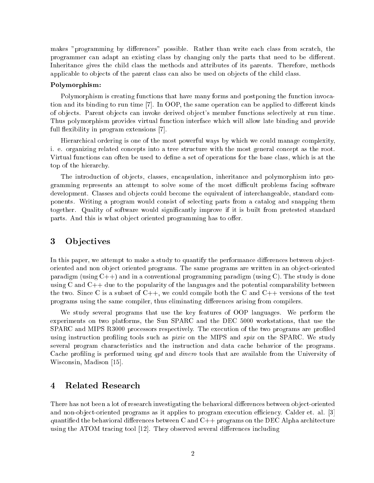makes "programming by differences" possible. Rather than write each class from scratch, the programmer can adapt an existing class by changing only the parts that need to be different. Inheritance gives the child class the methods and attributes of its parents. Therefore, methods applicable to objects of the parent class can also be used on objects of the child class.

## Polymorphism:

Polymorphism is creating functions that have many forms and postponing the function invocation and its binding to run time [7]. In OOP, the same operation can be applied to different kinds of ob jects. Parent ob jects can invoke derived ob ject's member functions selectively at run time. Thus polymorphism provides virtual function interface which will allow late binding and provide full flexibility in program extensions [7].

Hierarchical ordering is one of the most powerful ways by which we could manage complexity, i. e. organizing related concepts into a tree structure with the most general concept as the root. Virtual functions can often be used to define a set of operations for the base class, which is at the top of the hierarchy.

The introduction of objects, classes, encapsulation, inheritance and polymorphism into programming represents an attempt to solve some of the most difficult problems facing software development. Classes and objects could become the equivalent of interchangeable, standard components. Writing a program would consist of selecting parts from a catalog and snapping them together. Quality of software would signicantly improve if it is built from pretested standard parts. And this is what object oriented programming has to offer.

### 3**Objectives**

In this paper, we attempt to make a study to quantify the performance differences between objectoriented and non object oriented programs. The same programs are written in an object-oriented paradigm (using  $C++$ ) and in a conventional programming paradigm (using C). The study is done using C and  $C++$  due to the popularity of the languages and the potential comparability between the two. Since C is a subset of  $C_{++}$ , we could compile both the C and  $C_{++}$  versions of the test programs using the same compiler, thus eliminating differences arising from compilers.

We study several programs that use the key features of OOP languages. We perform the experiments on two platforms, the Sun SPARC and the DEC 5000 workstations, that use the SPARC and MIPS R3000 processors respectively. The execution of the two programs are profiled using instruction profiling tools such as *pixie* on the MIPS and *spix* on the SPARC. We study several program characteristics and the instruction and data cache behavior of the programs. Cache profiling is performed using qpt and dinero tools that are available from the University of Wisconsin, Madison [15].

# Related Research

There has not been a lot of research investigating the behavioral differences between object-oriented and non-object-oriented programs as it applies to program execution efficiency. Calder et. al. [3] quantified the behavioral differences between C and  $C_{++}$  programs on the DEC Alpha architecture using the ATOM tracing tool  $[12]$ . They observed several differences including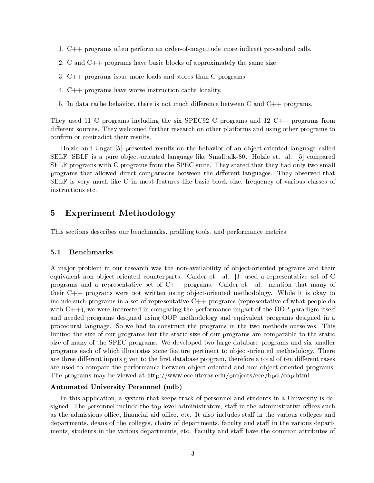- 1. C++ programs often perform an order-of-magnitude more indirect procedural calls.
- 2. C and C++ programs have basic blocks of approximately the same size.
- 3. C++ programs issue more loads and stores than C programs.
- 4. C++ programs have worse instruction cache locality.
- 5. In data cache behavior, there is not much difference between C and  $C_{++}$  programs.

They used 11 C programs including the six SPEC92 C programs and 12 C++ programs from different sources. They welcomed further research on other platforms and using other programs to confirm or contradict their results.

Holzle and Ungar [5] presented results on the behavior of an object-oriented language called SELF. SELF is a pure object-oriented language like Smalltalk-80. Holzle et. al. [5] compared SELF programs with C programs from the SPEC suite. They stated that they had only two small programs that allowed direct comparisons between the dierent languages. They observed that SELF is very much like C in most features like basic block size, frequency of various classes of instructions etc.

# Experiment Methodology

This sections describes our benchmarks, proling tools, and performance metrics.

## 5.1 Benchmarks

A major problem in our research was the non-availability of object-oriented programs and their equivalent non object-oriented counterparts. Calder et. al. [3] used a representative set of C programs and a representative set of C++ programs. Calder et. al. mention that many of their  $C++$  programs were not written using object-oriented methodology. While it is okay to include such programs in a set of representative C++ programs (representative of what people do with  $C_{++}$ , we were interested in comparing the performance impact of the OOP paradigm itself and needed programs designed using OOP methodology and equivalent programs designed in a procedural language. So we had to construct the programs in the two methods ourselves. This limited the size of our programs but the static size of our programs are comparable to the static size of many of the SPEC programs. We developed two large database programs and six smaller programs each of which illustrates some feature pertinent to object-oriented methodology. There are three different inputs given to the first database program, therefore a total of ten different cases are used to compare the performance between object-oriented and non object-oriented programs. The programs may be viewed at http://www.ece.utexas.edu/projects/ece/hpcl/oop.html.

# Automated University Personnel (udb)

In this application, a system that keeps track of personnel and students in a University is designed. The personnel include the top level administrators, staff in the administrative offices such as the admissions office, financial aid office, etc. It also includes staff in the various colleges and departments, deans of the colleges, chairs of departments, faculty and staff in the various departments, students in the various departments, etc. Faculty and staff have the common attributes of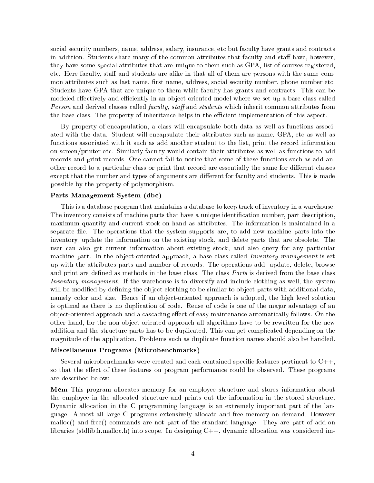social security numbers, name, address, salary, insurance, etc but faculty have grants and contracts in addition. Students share many of the common attributes that faculty and staff have, however, they have some special attributes that are unique to them such as GPA, list of courses registered, etc. Here faculty, staff and students are alike in that all of them are persons with the same common attributes such as last name, first name, address, social security number, phone number etc. Students have GPA that are unique to them while faculty has grants and contracts. This can be modeled effectively and efficiently in an object-oriented model where we set up a base class called Person and derived classes called *faculty, staff* and *students* which inherit common attributes from the base class. The property of inheritance helps in the efficient implementation of this aspect.

By property of encapsulation, a class will encapsulate both data as well as functions associated with the data. Student will encapsulate their attributes such as name, GPA, etc as well as functions associated with it such as add another student to the list, print the record information on screen/printer etc. Similarly faculty would contain their attributes as well as functions to add records and print records. One cannot fail to notice that some of these functions such as add another record to a particular class or print that record are essentially the same for different classes except that the number and types of arguments are different for faculty and students. This is made possible by the property of polymorphism.

## Parts Management System (dbc)

This is a database program that maintains a database to keep track of inventory in a warehouse. The inventory consists of machine parts that have a unique identification number, part description, maximum quantity and current stock-on-hand as attributes. The information is maintained in a separate file. The operations that the system supports are, to add new machine parts into the inventory, update the information on the existing stock, and delete parts that are obsolete. The user can also get current information about existing stock, and also query for any particular machine part. In the object-oriented approach, a base class called *Inventory management* is set up with the attributes parts and number of records. The operations add, update, delete, browse and print are defined as methods in the base class. The class *Parts* is derived from the base class Inventory management. If the warehouse is to diversify and include clothing as well, the system will be modified by defining the object clothing to be similar to object parts with additional data, namely color and size. Hence if an object-oriented approach is adopted, the high level solution is optimal as there is no duplication of code. Reuse of code is one of the major advantage of an object-oriented approach and a cascading effect of easy maintenance automatically follows. On the other hand, for the non object-oriented approach all algorithms have to be rewritten for the new addition and the structure parts has to be duplicated. This can get complicated depending on the magnitude of the application. Problems such as duplicate function names should also be handled.

### Miscellaneous Programs (Microbenchmarks)

Several microbenchmarks were created and each contained specific features pertinent to  $C_{++}$ , so that the effect of these features on program performance could be observed. These programs are described below:

Mem This program allocates memory for an employee structure and stores information about the employee in the allocated structure and prints out the information in the stored structure. Dynamic allocation in the C programming language is an extremely important part of the language. Almost all large C programs extensively allocate and free memory on demand. However malloc() and free() commands are not part of the standard language. They are part of add-on libraries (stdlib.h,malloc.h) into scope. In designing C++, dynamic allocation was considered im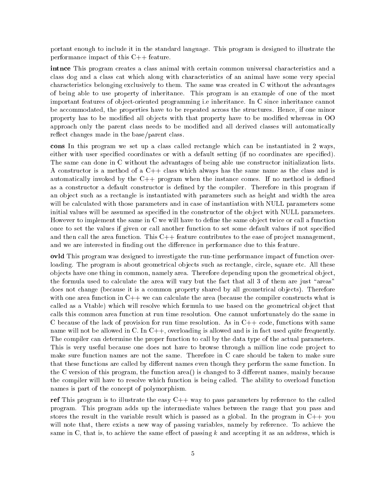portant enough to include it in the standard language. This program is designed to illustrate the performance impact of this C++ feature.

intnce This program creates a class animal with certain common universal characteristics and a class dog and a class cat which along with characteristics of an animal have some very special characteristics belonging exclusively to them. The same was created in C without the advantages of being able to use property of inheritance. This program is an example of one of the most important features of object-oriented programming i.e inheritance. In C since inheritance cannot be accommodated, the properties have to be repeated across the structures. Hence, if one minor property has to be modified all objects with that property have to be modified whereas in OO approach only the parent class needs to be modied and all derived classes will automatically reflect changes made in the base/parent class.

cons In this program we set up a class called rectangle which can be instantiated in 2 ways, either with user specified coordinates or with a default setting (if no coordinates are specified). The same can done in C without the advantages of being able use constructor initialization lists. A constructor is a method of a C++ class which always has the same name as the class and is automatically invoked by the  $C_{++}$  program when the instance comes. If no method is defined as a constructor a default constructor is defined by the compiler. Therefore in this program if an ob ject such as a rectangle is instantiated with parameters such as height and width the area will be calculated with those parameters and in case of instantiation with NULL parameters some initial values will be assumed as specified in the constructor of the object with NULL parameters. However to implement the same in C we will have to define the same object twice or call a function once to set the values if given or call another function to set some default values if not specied and then call the area function. This  $C++$  feature contributes to the ease of project management, and we are interested in finding out the difference in performance due to this feature.

ovld This program was designed to investigate the run-time performance impact of function overloading. The program is about geometrical objects such as rectangle, circle, square etc. All these ob jects have one thing in common, namely area. Therefore depending upon the geometrical ob ject, the formula used to calculate the area will vary but the fact that all 3 of them are just "areas" does not change (because it is a common property shared by all geometrical objects). Therefore with one area function in C++ we can calculate the area (because the compiler constructs what is called as a Vtable) which will resolve which formula to use based on the geometrical object that calls this common area function at run time resolution. One cannot unfortunately do the same in C because of the lack of provision for run time resolution. As in  $C++$  code, functions with same name will not be allowed in C. In C++, overloading is allowed and is in fact used quite frequently. The compiler can determine the proper function to call by the data type of the actual parameters. This is very useful because one does not have to browse through a million line code project to make sure function names are not the same. Therefore in C care should be taken to make sure that these functions are called by different names even though they perform the same function. In the C version of this program, the function area() is changed to 3 different names, mainly because the compiler will have to resolve which function is being called. The ability to overload function names is part of the concept of polymorphism.

ref This program is to illustrate the easy  $C++$  way to pass parameters by reference to the called program. This program adds up the intermediate values between the range that you pass and stores the result in the variable result which is passed as a global. In the program in  $C++$  you will note that, there exists a new way of passing variables, namely by reference. To achieve the same in C, that is, to achieve the same effect of passing  $k$  and accepting it as an address, which is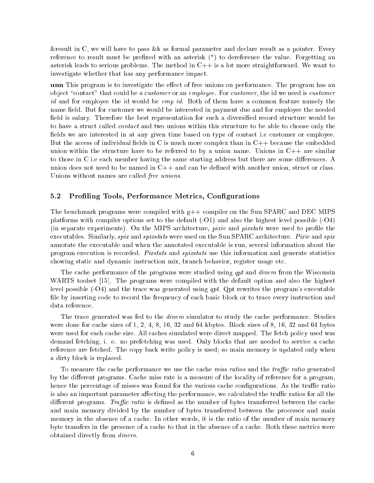&result in C, we will have to pass &k as formal parameter and declare result as a pointer. Every reference to result must be prefixed with an asterisk  $(*)$  to dereference the value. Forgetting an asterisk leads to serious problems. The method in  $C++$  is a lot more straightforward. We want to investigate whether that has any performance impact.

unn This program is to investigate the effect of free unions on performance. The program has an object "contact" that could be a *customer* or an *employee*. For *customer*, the id we need is *customer* id and for employee the id would be *emp id*. Both of them have a common feature namely the name field. But for customer we would be interested in payment due and for employee the needed field is salary. Therefore the best representation for such a diversified record structure would be to have a struct called contact and two unions within this structure to be able to choose only the fields we are interested in at any given time based on type of contact i.e customer or employee. But the access of individual fields in C is much more complex than in  $C_{++}$  because the embedded union within the structure have to be referred to by a union name. Unions in  $C++$  are similar to those in C i.e each member having the same starting address but there are some differences. A union does not need to be named in C++ and can be defined with another union, struct or class. Unions without names are called free unions.

# 5.2 Proling Tools, Performance Metrics, Congurations

The benchmark programs were compiled with g++ compiler on the Sun SPARC and DEC MIPS platforms with compiler options set to the default  $(-01)$  and also the highest level possible  $(-04)$ (in separate experiments). On the MIPS architecture, pixie and pixstats were used to prole the executables. Similarly, spix and spixstats were used on the Sun SPARC architecture. Pixie and spix annotate the executable and when the annotated executable is run, several information about the program execution is recorded. Pixstats and spixstats use this information and generate statistics showing static and dynamic instruction mix, branch behavior, register usage etc.

The cache performance of the programs were studied using qpt and dinero from the Wisconsin WARTS toolset [15]. The programs were compiled with the default option and also the highest level possible  $(-04)$  and the trace was generated using qpt. Qpt rewrites the program's executable file by inserting code to record the frequency of each basic block or to trace every instruction and data reference.

The trace generated was fed to the *dinero* simulator to study the cache performance. Studies were done for cache sizes of 1, 2, 4, 8, 16, 32 and 64 kbytes. Block sizes of 8, 16, 32 and 64 bytes were used for each cache size. All caches simulated were direct mapped. The fetch policy used was demand fetching, i. e. no prefetching was used. Only blocks that are needed to service a cache reference are fetched. The copy back write policy is used; so main memory is updated only when a dirty block is replaced.

To measure the cache performance we use the cache miss ratios and the traffic ratio generated by the different programs. Cache miss rate is a measure of the locality of reference for a program. hence the percentage of misses was found for the various cache configurations. As the traffic ratio is also an important parameter affecting the performance, we calculated the traffic ratios for all the different programs. Traffic ratio is defined as the number of bytes transferred between the cache and main memory divided by the number of bytes transferred between the processor and main memory in the absence of a cache. In other words, it is the ratio of the number of main memory byte transfers in the presence of a cache to that in the absence of a cache. Both these metrics were obtained directly from dinero.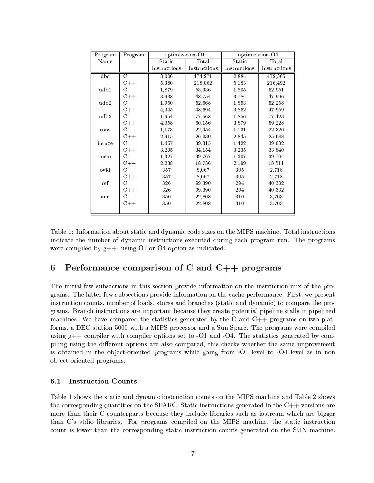| Program | Program       | optimization O1 |              |              | optimization-O4 |
|---------|---------------|-----------------|--------------|--------------|-----------------|
| Name    |               | Static          | Total        | Static       | Total           |
|         |               | Instructions    | Instructions | Instructions | Instructions    |
| dbc     | C             | 3,006           | 474,271      | 2,884        | 472,365         |
|         | $C++$         | 5,380           | 218,062      | 5,183        | 216,492         |
| udb1    | C             | 1,879           | 53.336       | 1,805        | 52,951          |
|         | $C++$         | 3,938           | 48,754       | 3,784        | 47,996          |
| udb2    | $\mathcal{C}$ | 1,950           | 52,668       | 1,853        | 52,258          |
|         | $C++$         | 4,045           | 48,694       | 3,862        | 47,959          |
| udb3    | $\mathcal{C}$ | 1,954           | 77,568       | 1,856        | 77,423          |
|         | $C++$         | 4,058           | 60,156       | 3,879        | 59,228          |
| cons    | C             | 1,173           | 22,454       | 1,131        | 22,320          |
|         | $C++$         | 2,915           | 26,030       | 2,845        | 25,688          |
| intnce  | C             | 1,457           | 39,315       | 1,422        | 39,032          |
|         | $C++$         | 3,235           | 34,154       | 3,235        | 33,840          |
| mem     | C             | 1,327           | 39,767       | 1,307        | 39,704          |
|         | $C++$         | 2,238           | 18,736       | 2,199        | 18,511          |
| ovld    | C             | 357             | 8,067        | 305          | 2,718           |
|         | $C++$         | 357             | 8,067        | 305          | 2,718           |
| ref     | С             | 326             | 99,390       | 294          | 40,332          |
|         | $C++$         | 326             | 99,390       | 294          | 40,332          |
| unn     | C             | 350             | 22,808       | 310          | 3,703           |
|         | $C++$         | 350             | 22,808       | 310          | 3,703           |
|         |               |                 |              |              |                 |

Table 1: Information about static and dynamic code sizes on the MIPS machine. Total instructions indicate the number of dynamic instructions executed during each program run. The programs were compiled by  $g++$ , using O1 or O4 option as indicated.

### 6Performance comparison of <sup>C</sup> and C++ programs

The initial few subsections in this section provide information on the instruction mix of the programs. The latter few subsections provide information on the cache performance. First, we present instruction counts, number of loads, stores and branches (static and dynamic) to compare the programs. Branch instructions are important because they create potential pipeline stalls in pipelined machines. We have compared the statistics generated by the C and  $C_{++}$  programs on two platforms, a DEC station 5000 with a MIPS processor and a Sun Sparc. The programs were compiled using  $g++$  compiler with compiler options set to -O1 and -O4. The statistics generated by compiling using the different options are also compared, this checks whether the same improvement is obtained in the object-oriented programs while going from -O1 level to -O4 level as in non ob ject-oriented programs.

# 6.1 Instruction Counts

Table 1 shows the static and dynamic instruction counts on the MIPS machine and Table 2 shows the corresponding quantities on the SPARC. Static instructions generated in the C++ versions are more than their C counterparts because they include libraries such as iostream which are bigger than C's stdio libraries. For programs compiled on the MIPS machine, the static instruction count is lower than the corresponding static instruction counts generated on the SUN machine.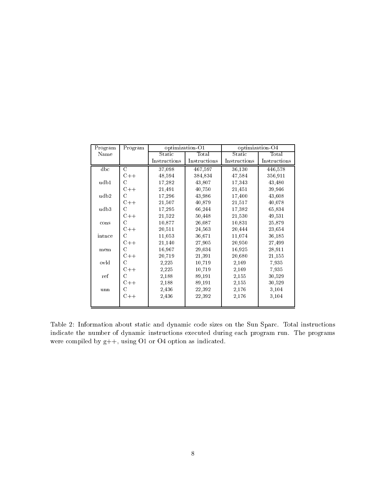| Program | Program       | optimization O1 |              | optimization-O4 |              |  |
|---------|---------------|-----------------|--------------|-----------------|--------------|--|
| Name    |               | Static          | Total        | Static          | Total        |  |
|         |               | Instructions    | Instructions | Instructions    | Instructions |  |
| dbc     | $\mathcal{C}$ | 37,098          | 467,597      | 36,130          | 446,578      |  |
|         | $C++$         | 48,594          | 384,834      | 47,584          | 356,911      |  |
| udb1    | C             | 17,282          | 43,807       | 17,343          | 43,480       |  |
|         | $C++$         | 21,491          | 40,750       | 21,451          | 39,946       |  |
| udb2    | С             | 17,296          | 43,986       | 17,400          | 43,608       |  |
|         | $C++$         | 21,507          | 40,879       | 21,517          | 40,078       |  |
| udb3    | C             | 17,295          | 66,244       | 17,382          | 65,834       |  |
|         | $C++$         | 21,522          | 50,448       | 21,530          | 49,531       |  |
| cons    | С             | 10,877          | 26,087       | 10,831          | 25,879       |  |
|         | $C++$         | 20,511          | 24,563       | 20,444          | 23,654       |  |
| intnce  | C             | 11,053          | 36,671       | 11,074          | 36,185       |  |
|         | $C++$         | 21,140          | 27,905       | 20,950          | 27,499       |  |
| mem     | C             | 16,967          | 29,034       | 16,925          | 28,911       |  |
|         | $C++$         | 20,719          | 21,391       | 20,680          | 21,155       |  |
| ovld    | С             | 2,225           | 10,719       | 2,169           | 7,935        |  |
|         | $C++$         | 2,225           | 10,719       | 2,169           | 7,935        |  |
| ref     | С             | 2,188           | 89,191       | 2,155           | 30,529       |  |
|         | $C++$         | 2,188           | 89,191       | 2,155           | 30,529       |  |
| unn     | С             | 2,436           | 22,392       | 2,176           | 3,104        |  |
|         | $C++$         | 2,436           | 22,392       | 2,176           | 3,104        |  |
|         |               |                 |              |                 |              |  |

Table 2: Information about static and dynamic code sizes on the Sun Sparc. Total instructions indicate the number of dynamic instructions executed during each program run. The programs were compiled by g++, using O1 or O4 option as indicated.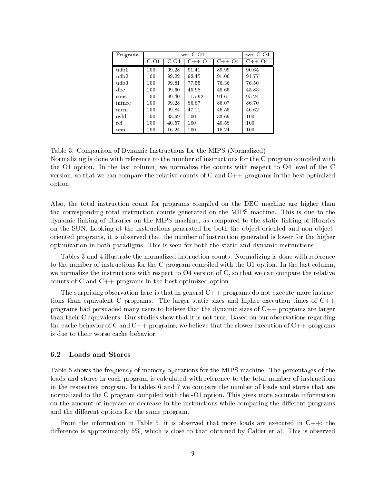| Programs |      |       | wrt C O1 |         | wrt C O4 |
|----------|------|-------|----------|---------|----------|
|          | C 01 | Ω4    | $C++O1$  | $C++O4$ | $C++O4$  |
| udb1     | 100  | 99.28 | 91.41    | 89.99   | 90.64    |
| udb2     | 100  | 99.22 | 92.45    | 91.06   | 91.77    |
| udb3     | 100  | 99.81 | 77.55    | 76.36   | 76.50    |
| dbc      | 100  | 99.60 | 45.98    | 45.65   | 45.83    |
| cons     | 100  | 99.40 | 115.92   | 94.67   | 95.24    |
| intnce   | 100  | 99.28 | 86.87    | 86.07   | 86.70    |
| mem      | 100  | 99.84 | 47.11    | 46.55   | 46.62    |
| ovld     | 100  | 33.69 | 100      | 33.69   | 100      |
| ref      | 100  | 40.57 | 100      | 40.58   | 100      |
| unn      | 100  | 16.24 | 100      | 16.24   | 100      |

Table 3: Comparison of Dynamic Instructions for the MIPS (Normalized) Normalizing is done with reference to the number of instructions for the C program compiled with the O1 option. In the last column, we normalize the counts with respect to O4 level of the C version, so that we can compare the relative counts of C and C++ programs in the best optimized option.

Also, the total instruction count for programs compiled on the DEC machine are higher than the corresponding total instruction counts generated on the MIPS machine. This is due to the dynamic linking of libraries on the MIPS machine, as compared to the static linking of libraries on the SUN. Looking at the instructions generated for both the object-oriented and non objectoriented programs, it is observed that the number of instruction generated is lower for the higher optimization in both paradigms. This is seen for both the static and dynamic instructions.

Tables 3 and 4 illustrate the normalized instruction counts. Normalizing is done with reference to the number of instructions for the C program compiled with the O1 option. In the last column, we normalize the instructions with respect to O4 version of C, so that we can compare the relative counts of C and C++ programs in the best optimized option.

The surprising observation here is that in general  $C++$  programs do not execute more instructions than equivalent C programs. The larger static sizes and higher execution times of  $C++$ programs had persuaded many users to believe that the dynamic sizes of C++ programs are larger than their C equivalents. Our studies show that it is not true. Based on our observations regarding the cache behavior of C and  $C_{++}$  programs, we believe that the slower execution of  $C_{++}$  programs is due to their worse cache behavior.

## 6.2 Loads and Stores

Table 5 shows the frequency of memory operations for the MIPS machine. The percentages of the loads and stores in each program is calculated with reference to the total number of instructions in the respective program. In tables 6 and 7 we compare the number of loads and stores that are normalized to the C program compiled with the -O1 option. This gives more accurate information on the amount of increase or decrease in the instructions while comparing the different programs and the different options for the same program.

From the information in Table 5, it is observed that more loads are executed in  $C++$ ; the difference is approximately 5%, which is close to that obtained by Calder et al. This is observed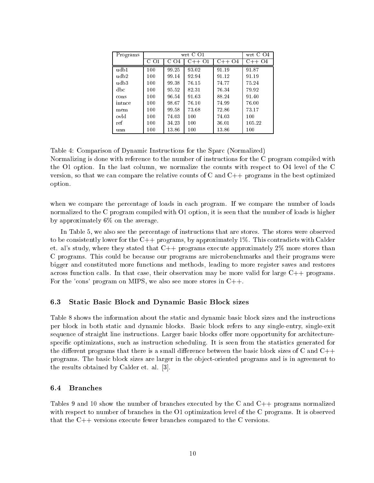| Programs |      |               | wrt C O1 |         | wrt C O4 |
|----------|------|---------------|----------|---------|----------|
|          | C 01 | $\Omega$<br>C | $C++O1$  | $C++O4$ | $C++O4$  |
| udb1     | 100  | 99.25         | 93.02    | 91.19   | 91.87    |
| udb2     | 100  | 99.14         | 92.94    | 91.12   | 91.19    |
| udb3     | 100  | 99.38         | 76.15    | 74.77   | 75.24    |
| dbc      | 100  | 95.52         | 82.31    | 76.34   | 79.92    |
| cons     | 100  | 96.54         | 91.63    | 88.24   | 91.40    |
| intnce   | 100  | 98.67         | 76.10    | 74.99   | 76.00    |
| mem      | 100  | 99.58         | 73.68    | 72.86   | 73.17    |
| ovld     | 100  | 74.03         | 100      | 74.03   | 100      |
| ref      | 100  | 34.23         | 100      | 36.01   | 105.22   |
| unn      | 100  | 13.86         | 100      | 13.86   | 100      |

Table 4: Comparison of Dynamic Instructions for the Sparc (Normalized) Normalizing is done with reference to the number of instructions for the C program compiled with the O1 option. In the last column, we normalize the counts with respect to O4 level of the C version, so that we can compare the relative counts of C and C++ programs in the best optimized option.

when we compare the percentage of loads in each program. If we compare the number of loads normalized to the C program compiled with O1 option, it is seen that the number of loads is higher by approximately 6% on the average.

In Table 5, we also see the percentage of instructions that are stores. The stores were observed to be consistently lower for the  $C++$  programs, by approximately 1%. This contradicts with Calder et. al's study, where they stated that  $C++$  programs execute approximately  $2\%$  more stores than C programs. This could be because our programs are microbenchmarks and their programs were bigger and constituted more functions and methods, leading to more register saves and restores across function calls. In that case, their observation may be more valid for large  $C++$  programs. For the 'cons' program on MIPS, we also see more stores in C++.

# 6.3 Static Basic Block and Dynamic Basic Block sizes

Table 8 shows the information about the static and dynamic basic block sizes and the instructions per block in both static and dynamic blocks. Basic block refers to any single-entry, single-exit sequence of straight line instructions. Larger basic blocks offer more opportunity for architecturespecic optimizations, such as instruction scheduling. It is seen from the statistics generated for the different programs that there is a small difference between the basic block sizes of C and  $C++$ programs. The basic block sizes are larger in the ob ject-oriented programs and is in agreement to the results obtained by Calder et. al. [3].

#### 6.4 **Branches**

Tables 9 and 10 show the number of branches executed by the C and C++ programs normalized with respect to number of branches in the O1 optimization level of the C programs. It is observed that the C++ versions execute fewer branches compared to the C versions.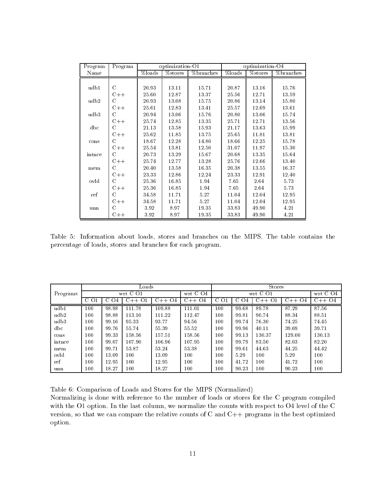| Program      | Program       |        | optimization $\overline{O1}$ |           | optimization-O4 |            |           |  |
|--------------|---------------|--------|------------------------------|-----------|-----------------|------------|-----------|--|
| Name         |               | %loads | $%$ stores                   | %branches | %loads          | $%$ stores | %branches |  |
|              |               |        |                              |           |                 |            |           |  |
| udb1         | C             | 20.93  | 13.11                        | 15.71     | 20.87           | 13.16      | 15.76     |  |
|              | $C++$         | 25.60  | 12.87                        | 13.37     | 25.56           | 12.71      | 13.59     |  |
| udb2         | C             | 20.93  | 13.08                        | 15.75     | 20.86           | 13.14      | 15.80     |  |
|              | $C++$         | 25.61  | 12.83                        | 13.41     | 25.57           | 12.69      | 13.61     |  |
| udb3         | C             | 20.94  | 13.06                        | 15.76     | 20.80           | 13.06      | 15.74     |  |
|              | $C++$         | 25.74  | 12.85                        | 13.35     | 25.71           | 12.71      | 13.56     |  |
| $_{\rm dbc}$ | $\mathcal{C}$ | 21.13  | 13.58                        | 15.93     | 21.17           | 13.63      | 15.99     |  |
|              | $C++$         | 25.62  | 11.85                        | 13.75     | 25.65           | 11.81      | 13.81     |  |
| cons         | C             | 18.67  | 12.28                        | 14.80     | 18.66           | 12.25      | 15.78     |  |
|              | $C++$         | 25.54  | 13.81                        | 12.50     | 31.07           | 11.97      | 15.30     |  |
| intnce       | C             | 20.73  | 13.29                        | 15.67     | 20.68           | 13.35      | 15.64     |  |
|              | $C++$         | 25.74  | 12.77                        | 13.28     | 25.76           | 12.66      | 13.40     |  |
| mem          | C             | 20.40  | 13.58                        | 16.35     | 20.38           | 13.55      | 16.37     |  |
|              | $C++$         | 23.33  | 12.86                        | 12.24     | 23.33           | 12.91      | 12.40     |  |
| ovld         | C             | 25.36  | 16.85                        | 1.94      | 7.65            | 2.64       | 5.73      |  |
|              | $C++$         | 25.36  | 16.85                        | 1.94      | 7.65            | 2.64       | 5.73      |  |
| ref          | $\mathcal{C}$ | 34.58  | 11.71                        | 5.27      | 11.04           | 12.04      | 12.95     |  |
|              | $C++$         | 34.58  | 11.71                        | 5.27      | 11.04           | 12.04      | 12.95     |  |
| unn          | C             | 3.92   | 8.97                         | 19.35     | 33.83           | 49.90      | 4.21      |  |
|              | $C++$         | 3.92   | 8.97                         | 19.35     | 33.83           | 49.90      | 4.21      |  |

Table 5: Information about loads, stores and branches on the MIPS. The table contains the percentage of loads, stores and branches for each program.

|              |         |                     | Loads                               |         |        | Stores   |           |             |         |         |
|--------------|---------|---------------------|-------------------------------------|---------|--------|----------|-----------|-------------|---------|---------|
| Programs     |         |                     | wrt $C01$<br>wrt $C04$<br>wrt $C01$ |         |        | wrt C O4 |           |             |         |         |
|              | C O1    | <sup>()4</sup><br>G | $C++$<br>O <sub>1</sub>             | $C++O4$ | C++ O4 | -C-O1    | C.<br>U 4 | $C++$<br>() | $C++O4$ | $C++O4$ |
| udb1         | 100     | 98.98               | 111.78                              | 109.88  | 111.01 | 100      | 99.68     | 89.78       | 87.29   | 87.56   |
| udb2         | $100\,$ | 98.88               | 113.10                              | 111.22  | 112.47 | $100\,$  | 99.81     | 90.74       | 88.34   | 88.51   |
| udb3         | 100     | 99.16               | 95.33                               | 93.77   | 94.56  | 100      | 99.74     | 76.30       | 74.25   | 74.45   |
| $_{\rm dbc}$ | $100\,$ | 99.76               | 55.74                               | 55.39   | 55.52  | $100\,$  | 99.96     | 40.11       | 39.69   | 39.71   |
| cons         | 100     | 99.33               | 158.56                              | 157.51  | 158.56 | $100\,$  | 99.13     | 130.37      | 129.00  | 130.13  |
| intnce       | $100\,$ | 99.07               | 107.90                              | 106.96  | 107.95 | $100\,$  | 99.79     | 83.50       | 82.03   | 82.20   |
| mem          | 100     | 99.71               | 53.87                               | 53.24   | 53.38  | 100      | 99.61     | 44.63       | 44.25   | 44.42   |
| ovld         | 100     | 13.09               | 100                                 | 13.09   | 100    | 100      | 5.29      | 100         | 5.29    | 100     |
| ref          | 100     | 12.95               | 100                                 | 12.95   | 100    | $100\,$  | 41.72     | 100         | 41.72   | 100     |
| unn          | 100     | 18.27               | 100                                 | 18.27   | 100    | 100      | 90.23     | 100         | 90.23   | 100     |

Table 6: Comparison of Loads and Stores for the MIPS (Normalized)

Normalizing is done with reference to the number of loads or stores for the C program compiled with the O1 option. In the last column, we normalize the counts with respect to O4 level of the C version, so that we can compare the relative counts of C and C++ programs in the best optimized option.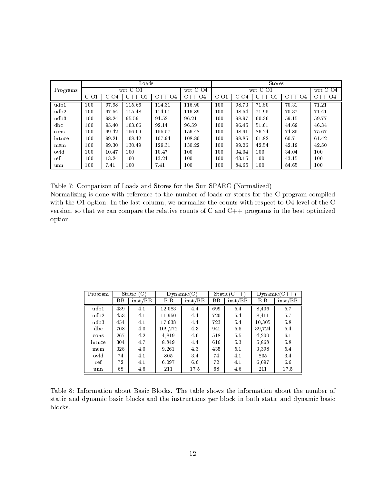|              |         |          | $_{\rm{Loads}}$ |         |             | <b>Stores</b> |       |             |         |             |
|--------------|---------|----------|-----------------|---------|-------------|---------------|-------|-------------|---------|-------------|
| Programs     |         | wrt C O1 |                 |         | wrt C $Q_4$ |               |       | wrt C O1    |         | wrt C $Q_4$ |
|              | C O1    | U O4     | O1<br>$C++$     | $C++O4$ | C++ O4      | C (<br>71     | C     | $C++$<br>O. | $C++O4$ | $C++O4$     |
| udb1         | 100     | 97.98    | 115.66          | 114.31  | 116.90      | 100           | 98.73 | 71.80       | 70.31   | 71.21       |
| udb2         | 100     | 97.54    | 115.48          | 114.01  | 116.89      | $100\,$       | 98.54 | 71.95       | 70.37   | 71.41       |
| udb3         | 100     | 98.24    | 95.59           | 94.52   | 96.21       | $100\,$       | 98.97 | 60.36       | 59.15   | 59.77       |
| $_{\rm dbc}$ | 100     | 95.40    | 103.66          | 92.14   | 96.59       | 100           | 96.45 | 51.61       | 44.69   | 46.34       |
| cons         | $100\,$ | 99.42    | 156.09          | 155.57  | 156.48      | 100           | 98.91 | 86.24       | 74.85   | 75.67       |
| intnce       | 100     | 99.21    | 108.42          | 107.94  | 108.80      | $100\,$       | 98.85 | 61.82       | 60.71   | 61.42       |
| mem          | 100     | 99.30    | 130.49          | 129.31  | 130.22      | $100\,$       | 99.26 | 42.54       | 42.19   | 42.50       |
| ovld         | 100     | 10.47    | 100             | 10.47   | $100\,$     | $100\,$       | 34.04 | 100         | 34.04   | 100         |
| ref          | 100     | 13.24    | 100             | 13.24   | 100         | 100           | 43.15 | 100         | 43.15   | 100         |
| unn          | $100\,$ | 7.41     | 100             | 7.41    | 100         | $100\,$       | 84.65 | 100         | 84.65   | 100         |

Table 7: Comparison of Loads and Stores for the Sun SPARC (Normalized)

Normalizing is done with reference to the number of loads or stores for the C program compiled with the O1 option. In the last column, we normalize the counts with respect to O4 level of the C version, so that we can compare the relative counts of C and C++ programs in the best optimized option.

| Program      |     | Static $(C)$ |         | Dynamic(C) |     | $Static(C++)$ | $Dv$ namic $(C++)$ |         |
|--------------|-----|--------------|---------|------------|-----|---------------|--------------------|---------|
|              | ΒB  | inst/BB      | B.B     | inst/BB    | ΒB  | inst/BB       | B.B                | inst/BB |
| udb1         | 439 | 4.1          | 12.083  | 4.4        | 699 | 5.4           | 8,406              | 5.7     |
| udb2         | 453 | 4.1          | 11.950  | 4.4        | 720 | 5.4           | 8,411              | 5.7     |
| udb3         | 454 | 4.1          | 17.638  | 4.4        | 723 | 5.4           | 10,305             | 5.8     |
| $_{\rm dbc}$ | 708 | 4.0          | 109.272 | 4.3        | 941 | 5.5           | 39.724             | 5.4     |
| cons         | 267 | 4.2          | 4.819   | 4.6        | 518 | 5.5           | 4,200              | 6.1     |
| intnce       | 304 | 4.7          | 8,849   | 4.4        | 616 | 5.3           | 5,868              | 5.8     |
| mem          | 328 | 4.0          | 9.261   | 4.3        | 435 | 5.1           | 3,398              | 5.4     |
| ovld         | 74  | 4.1          | 805     | 3.4        | 74  | 4.1           | 805                | 3.4     |
| ref          | 72  | 4.1          | 6.097   | 6.6        | 72  | 4.1           | 6.097              | 6.6     |
| unn          | 68  | 4.6          | 211     | 17.5       | 68  | 4.6           | 211                | 17.5    |

Table 8: Information about Basic Blocks. The table shows the information about the number of static and dynamic basic blocks and the instructions per block in both static and dynamic basic blocks.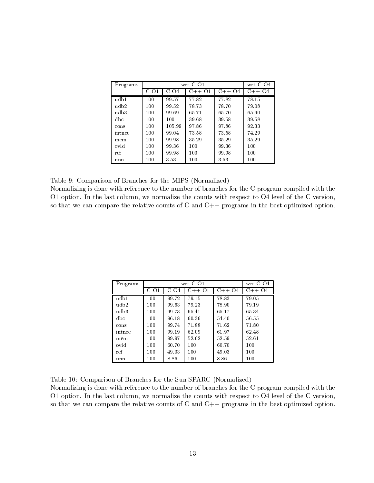| Programs |                               |          | wrt C O1 |         | wrt C O4 |
|----------|-------------------------------|----------|----------|---------|----------|
|          | O <sub>1</sub><br>$\mathbf C$ | O4<br>C. | C++ 01   | $C++O4$ | $C++O4$  |
| udb1     | 100                           | 99.57    | 77.82    | 77.82   | 78.15    |
| udb2     | 100                           | 99.52    | 78.73    | 78.70   | 79.08    |
| udb3     | 100                           | 99.69    | 65.71    | 65.70   | 65.90    |
| dbc      | 100                           | 100      | 39.68    | 39.58   | 39.58    |
| cons     | 100                           | 105.99   | 97.86    | 97.86   | 92.33    |
| intnce   | 100                           | 99.04    | 73.58    | 73.58   | 74.29    |
| mem      | 100                           | 99.98    | 35.29    | 35.29   | 35.29    |
| ovld     | 100                           | 99.36    | 100      | 99.36   | 100      |
| ref      | 100                           | 99.98    | 100      | 99.98   | 100      |
| unn      | 100                           | 3.53     | 100      | 3.53    | 100      |

Table 9: Comparison of Branches for the MIPS (Normalized)

Normalizing is done with reference to the number of branches for the C program compiled with the O1 option. In the last column, we normalize the counts with respect to O4 level of the C version, so that we can compare the relative counts of C and C++ programs in the best optimized option.

| Programs |      |       | wrt C O1 |         | wrt C O4 |
|----------|------|-------|----------|---------|----------|
|          | C 01 | 04    | $C++O1$  | $C++O4$ | $C++O4$  |
| udb1     | 100  | 99.72 | 79.15    | 78.83   | 79.05    |
| udb2     | 100  | 99.63 | 79.23    | 78.90   | 79.19    |
| udb3     | 100  | 99.73 | 65.41    | 65.17   | 65.34    |
| dbc      | 100  | 96.18 | 60.36    | 54.40   | 56.55    |
| cons     | 100  | 99.74 | 71.88    | 71.62   | 71.80    |
| intnce   | 100  | 99.19 | 62.09    | 61.97   | 62.48    |
| mem      | 100  | 99.97 | 52.62    | 52.59   | 52.61    |
| ovld     | 100  | 60.70 | 100      | 60.70   | 100      |
| ref      | 100  | 49.03 | 100      | 49.03   | 100      |
| unn      | 100  | 8.86  | 100      | 8.86    | 100      |

Table 10: Comparison of Branches for the Sun SPARC (Normalized)

Normalizing is done with reference to the number of branches for the C program compiled with the O1 option. In the last column, we normalize the counts with respect to O4 level of the C version, so that we can compare the relative counts of C and C++ programs in the best optimized option.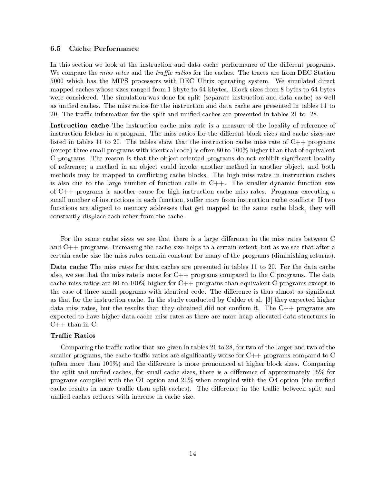## 6.5 Cache Performance

In this section we look at the instruction and data cache performance of the different programs. We compare the *miss rates* and the *traffic ratios* for the caches. The traces are from DEC Station 5000 which has the MIPS processors with DEC Ultrix operating system. We simulated direct mapped caches whose sizes ranged from 1 kbyte to 64 kbytes. Block sizes from 8 bytes to 64 bytes were considered. The simulation was done for split (separate instruction and data cache) as well as unified caches. The miss ratios for the instruction and data cache are presented in tables 11 to 20. The traffic information for the split and unified caches are presented in tables 21 to 28.

Instruction cache The instruction cache miss rate is a measure of the locality of reference of instruction fetches in a program. The miss ratios for the different block sizes and cache sizes are listed in tables 11 to 20. The tables show that the instruction cache miss rate of  $C_{++}$  programs (except three small programs with identical code) is often 80 to 100% higher than that of equivalent C programs. The reason is that the object-oriented programs do not exhibit significant locality of reference; a method in an object could invoke another method in another object, and both methods may be mapped to conflicting cache blocks. The high miss rates in instruction caches is also due to the large number of function calls in  $C++$ . The smaller dynamic function size of C++ programs is another cause for high instruction cache miss rates. Programs executing a small number of instructions in each function, suffer more from instruction cache conflicts. If two functions are aligned to memory addresses that get mapped to the same cache block, they will constantly displace each other from the cache.

For the same cache sizes we see that there is a large difference in the miss rates between C and C++ programs. Increasing the cache size helps to a certain extent, but as we see that after a certain cache size the miss rates remain constant for many of the programs (diminishing returns).

Data cache The miss rates for data caches are presented in tables 11 to 20. For the data cache also, we see that the miss rate is more for  $C++$  programs compared to the C programs. The data cache miss ratios are 80 to 100% higher for C++ programs than equivalent C programs except in the case of three small programs with identical code. The difference is thus almost as significant as that for the instruction cache. In the study conducted by Calder et al. [3] they expected higher data miss rates, but the results that they obtained did not confirm it. The  $C_{++}$  programs are expected to have higher data cache miss rates as there are more heap allocated data structures in  $C++$  than in  $C$ .

### **Traffic Ratios**

Comparing the traffic ratios that are given in tables 21 to 28, for two of the larger and two of the smaller programs, the cache traffic ratios are significantly worse for  $C_{++}$  programs compared to C (often more than  $100\%$ ) and the difference is more pronounced at higher block sizes. Comparing the split and unified caches, for small cache sizes, there is a difference of approximately  $15\%$  for programs compiled with the O1 option and 20% when compiled with the O4 option (the unied cache results in more traffic than split caches). The difference in the traffic between split and unied caches reduces with increase in cache size.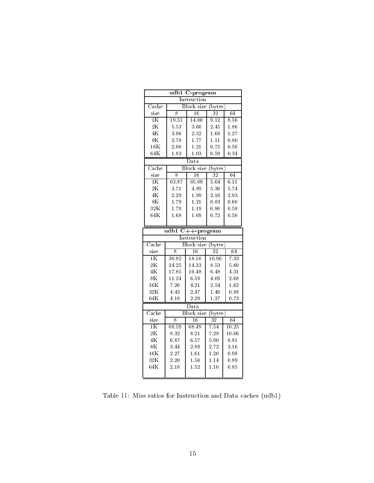|                           |                | udb1 C-program    |                    |       |  |  |  |  |
|---------------------------|----------------|-------------------|--------------------|-------|--|--|--|--|
|                           |                | Instruction       |                    |       |  |  |  |  |
| $\overline{\text{Cache}}$ |                | <b>Block</b> size | bytes)             |       |  |  |  |  |
| size                      | 8              | 16                | $\overline{32}$    | 64    |  |  |  |  |
| $1\overline{\text{K}}$    | 1951           | 14.00             | 9.12               | 8.56  |  |  |  |  |
| 2K                        | 5.53           | 3.60              | 2.45               | 1.86  |  |  |  |  |
| 4K                        | 3.96           | 2.52              | 1.68               | 1.27  |  |  |  |  |
| 8K                        | 2.78           | 1.77              | 1.11               | 0.80  |  |  |  |  |
| $16\,\mathrm{K}$          | 2.06           | 1.21              | 0.75               | 0.50  |  |  |  |  |
| 64K                       | 1.83           | 1.03              | 0.59               | 0.34  |  |  |  |  |
|                           |                | $_{\rm Data}$     |                    |       |  |  |  |  |
| $\operatorname{Cache}$    |                | <b>Block</b> size | (bytes)            |       |  |  |  |  |
| size                      | $\overline{8}$ | 16                | 32                 | 64    |  |  |  |  |
| 1K                        | 03.87          | 05.09             | 5.64               | 6.11  |  |  |  |  |
| 2K                        | 3.71           | 4.89              | 5.30               | 5.74  |  |  |  |  |
| $4\mathrm{K}$             | 2.29           | 1.99              | 2.10               | 2.93  |  |  |  |  |
| 8K                        | 1.79           | 1.21              | 0.83               | 0.60  |  |  |  |  |
| 32K                       | 1.79           | 1.19              | 0.80               | 0.58  |  |  |  |  |
| 64K                       | 1.68           | 1.09              | 0.72               | 0.50  |  |  |  |  |
|                           |                |                   |                    |       |  |  |  |  |
| udb1<br>$C++$ program     |                |                   |                    |       |  |  |  |  |
| Instruction               |                |                   |                    |       |  |  |  |  |
| $\operatorname{Cache}$    |                | <b>Block</b> size | $(\mathrm{bytes})$ |       |  |  |  |  |
| size                      | 8              | 16                | $\overline{32}$    | 64    |  |  |  |  |
| $\overline{1K}$           | 30.82          | 18.10             | 10.96              | 7.33  |  |  |  |  |
| 2K                        | 24.25          | 14.33             | 8.53               | 5.60  |  |  |  |  |
| 4K                        | 17.85          | 10.48             | 6.48               | 4.31  |  |  |  |  |
| 8K                        | 11.24          | 6.59              | 4.09               | 2.68  |  |  |  |  |
| $16\mathrm{K}$            | 7.26           | 4.21              | 2.54               | 1.62  |  |  |  |  |
| 32K                       | 4.43           | 2.47              | 1.40               | 0.88  |  |  |  |  |
| 64K                       | 4.18           | 2.29              | 1.27               | 0.73  |  |  |  |  |
|                           |                | Data              |                    |       |  |  |  |  |
| $\overline{\text{Cache}}$ |                | <b>Block</b> size | (bytes)            |       |  |  |  |  |
| size                      | 8              | 16                | $\overline{32}$    | 64    |  |  |  |  |
| $\overline{1K}$           | 08.59          | 08.49             | 7.54               | 10.25 |  |  |  |  |
| 2K                        | 8.32           | 8.21              | 7.28               | 10.06 |  |  |  |  |
| $4\overline{\text{K}}$    | 6.87           | 6.57              | 5.90               | 8.81  |  |  |  |  |
| 8K                        | 3.44           | 2.89              | 2.72               | 3.16  |  |  |  |  |
| 16K                       | 2.27           | 1.61              | 1.20               | 0.98  |  |  |  |  |
|                           |                |                   |                    |       |  |  |  |  |
| 32K                       | 2.20           | 1.56              | 1.14               | 0.89  |  |  |  |  |
| 64K                       | 2.18           | 1.52              | 1.10               | 0.85  |  |  |  |  |

Table 11: Miss ratios for Instruction and Data caches (udb1)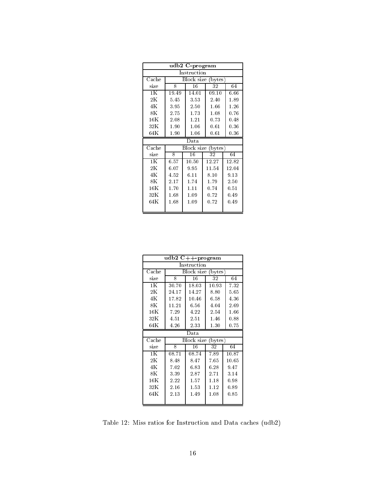|                        |       | udb2 C-program        |                  |       |  |  |  |
|------------------------|-------|-----------------------|------------------|-------|--|--|--|
| Instruction            |       |                       |                  |       |  |  |  |
| $\operatorname{Cache}$ |       | Block size            | $(\text{bytes})$ |       |  |  |  |
| size                   | 8     | 16                    | 32               | 64    |  |  |  |
| 1K                     | 19.49 | 14.01                 | 09.10            | 6.66  |  |  |  |
| $2\mathrm{K}$          | 5.45  | 3.53                  | 2.40             | 1.89  |  |  |  |
| 4K                     | 3.95  | 2.50                  | 1.66             | 1.26  |  |  |  |
| $8\mathrm{K}$          | 2.75  | 1.73                  | 1.08             | 0.76  |  |  |  |
| 16K                    | 2.08  | $1.21\,$              | 0.73             | 0.48  |  |  |  |
| $32\mathrm{K}$         | 1.90  | 1.06                  | 0.61             | 0.36  |  |  |  |
| 64K                    | 1.90  | 1.06                  | 0.61             | 0.36  |  |  |  |
| Data                   |       |                       |                  |       |  |  |  |
| $\operatorname{Cache}$ |       | Block size<br>(bytes) |                  |       |  |  |  |
| size                   | 8     | 16                    | 32               | 64    |  |  |  |
| 1K                     | 6.57  | 10.50                 | 12.27            | 12.82 |  |  |  |
| $2\mathrm{K}$          | 6.07  | 9.95                  | 11.54            | 12.04 |  |  |  |
| 4K                     | 4.52  | 6.11                  | 8.10             | 9.13  |  |  |  |
| $8\mathrm{K}$          | 2.17  | 1.74                  | 1.79             | 2.50  |  |  |  |
| $16\mathrm{K}$         | 1.70  | 1.11                  | 0.74             | 0.51  |  |  |  |
| 32K                    | 1.68  | 1.09                  | 0.72             | 0.49  |  |  |  |
| 64K                    | 1.68  | 1.09                  | 0.72             | 0.49  |  |  |  |
|                        |       |                       |                  |       |  |  |  |

|                        | $\overline{\mathrm{udb2}}$ C++-program |                    |         |          |
|------------------------|----------------------------------------|--------------------|---------|----------|
|                        |                                        | Instruction        |         |          |
| $\operatorname{Cache}$ |                                        | Block size         | (bytes) |          |
| size                   | 8                                      | 16                 | 32      | 64       |
| 1K                     | 30.70                                  | 18.03              | 10.93   | 7.32     |
| $2\mathrm{K}$          | 24.17                                  | 14.27              | 8.80    | 5.65     |
| 4K                     | 17.82                                  | 10.46              | 6.58    | 4.36     |
| $8\mathrm{K}$          | 11.21                                  | 6.56               | 4.04    | 2.69     |
| $16\mathrm{K}$         | 7.29                                   | 4.22               | 2.54    | 1.66     |
| 32K                    | 4.51                                   | 2.51               | 1.46    | 0.88     |
| 64K                    | 4.26                                   | 2.33               | 1.30    | $0.75\,$ |
|                        |                                        | Data               |         |          |
| $\operatorname{Cache}$ |                                        | Block size (bytes) |         |          |
| size                   | 8                                      | 16                 | 32      | 64       |
| 1K                     | 08.71                                  | 08.74              | 7.89    | 10.87    |
| $2\mathrm{K}$          | 8.48                                   | 8.47               | 7.65    | 10.65    |
| 4K                     | 7.02                                   | 6.83               | 6.28    | 9.47     |
| $8\mathrm{K}$          | 3.39                                   | 2.87               | 2.71    | 3.14     |
| $16\mathrm{K}$         | 2.22                                   | 1.57               | 1.18    | 0.98     |
| 32K                    | 2.16                                   | 1.53               | 1.12    | 0.89     |
| 64K                    | 2.13                                   | 1.49               | 1.08    | 0.85     |
|                        |                                        |                    |         |          |

Table 12: Miss ratios for Instruction and Data caches (udb2)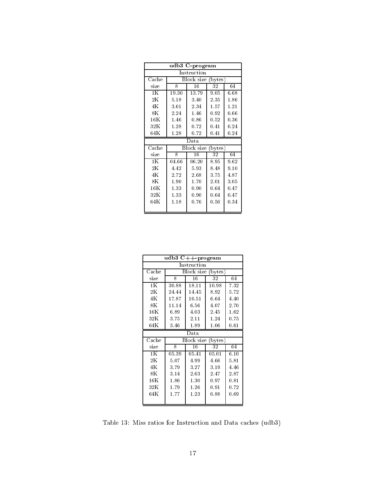| udb3 C-program         |                       |            |            |      |  |  |
|------------------------|-----------------------|------------|------------|------|--|--|
|                        | Instruction           |            |            |      |  |  |
| $\operatorname{Cache}$ | Block size<br>(bytes) |            |            |      |  |  |
| size                   | 8                     | 16         | 32         | 64   |  |  |
| 1 K                    | 19.30                 | 13.79      | 9.05       | 6.68 |  |  |
| $2\,{\rm K}$           | 5.18                  | 3.40       | 2.35       | 1.86 |  |  |
| 4K                     | 3.61                  | 2.34       | 1.57       | 1.21 |  |  |
| $8\,\mathrm{K}$        | 2.24                  | 1.46       | 0.92       | 0.66 |  |  |
| $16\,\mathrm{K}$       | 1.46                  | $0.86\,$   | 0.52       | 0.36 |  |  |
| 32K                    | 1.28                  | 0.72       | 0.41       | 0.24 |  |  |
| 64K                    | 1.28                  | 0.72       | 0.41       | 0.24 |  |  |
|                        |                       |            |            |      |  |  |
|                        |                       | Data       |            |      |  |  |
| Cache                  |                       | Block size | (bytes)    |      |  |  |
| size                   | 8                     | 16         | 32         | 64   |  |  |
| 1 K                    | 04.66                 | 06.20      | 8.95       | 9.62 |  |  |
| $2\,{\rm K}$           | 4.42                  | 5.93       | 8.48       | 9.10 |  |  |
| 4K                     | 2.72                  | 2.68       | 3.75       | 4.87 |  |  |
| $8\,\mathrm{K}$        | 1.90                  | 1.70       | 2.01       | 3.05 |  |  |
| $16\,\mathrm{K}$       | 1.33                  | 0.90       | 0.64       | 0.47 |  |  |
| 32K                    | 1.33                  | 0.90       | 0.64       | 0.47 |  |  |
| 64K                    | 1.18                  | 0.76       | $\rm 0.50$ | 0.34 |  |  |

|                        | $\overline{\mathrm{udb}}$ 3 C++-prog <u>ram</u> |                    |           |           |
|------------------------|-------------------------------------------------|--------------------|-----------|-----------|
|                        |                                                 | Instruction        |           |           |
| $\operatorname{Cache}$ |                                                 | Block size (bytes) |           |           |
| size                   | 8                                               | 16                 | 32        | 64        |
| 1K                     | 30.88                                           | 18.11              | 10.98     | 7.32      |
| $2\mathrm{K}$          | 24.44                                           | 14.45              | 8.92      | 5.72      |
| 4K                     | 17.87                                           | 10.51              | 6.64      | 4.40      |
| $8\mathrm{K}$          | 11.14                                           | 6.56               | 4.07      | 2.70      |
| $16\mathrm{K}$         | 6.89                                            | 4.03               | 2.45      | 1.62      |
| 32K                    | 3.75                                            | 2.11               | 1.24      | 0.75      |
| 64K                    | 3.46                                            | 1.89               | 1.06      | 0.61      |
|                        |                                                 |                    |           |           |
|                        |                                                 | Data               |           |           |
| Cache                  |                                                 | Block size         | (bytes)   |           |
| size                   | 8                                               | 16                 | 32        | 64        |
| 1Κ                     | 05.39                                           | 05.41              | 05.01     | 6.10      |
| $2\mathrm{K}$          | 5.07                                            | 4.99               | 4.66      | 5.81      |
| 4K                     | 3.79                                            | 3.27               | 3.19      | 4.46      |
| $8\mathrm{K}$          | 3.14                                            | 2.63               | 2.47      | 2.87      |
| $16\mathrm{K}$         | 1.86                                            | 1.30               | $_{0.97}$ | $_{0.81}$ |
| 32K                    | 1.79                                            | 1.26               | 0.91      | 0.72      |
| 64K                    | 1.77                                            | 1.23               | 0.88      | 0.69      |

Table 13: Miss ratios for Instruction and Data caches (udb3)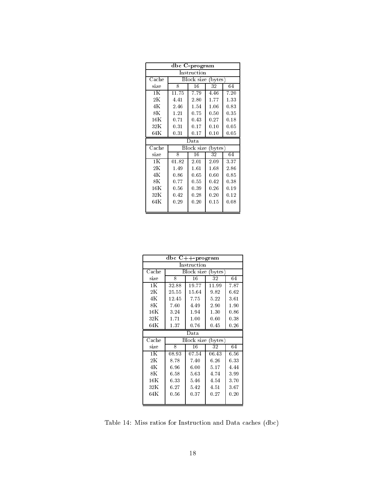| $\overline{\text{dbc}}$ C-program |       |             |                                          |      |  |  |  |
|-----------------------------------|-------|-------------|------------------------------------------|------|--|--|--|
|                                   |       | Instruction |                                          |      |  |  |  |
| Cache                             |       | Block size  | (bytes)                                  |      |  |  |  |
| size                              | 8     | 16          | 32                                       | 64   |  |  |  |
| 1K                                | 11.75 | 7.79        | 4.46                                     | 7.20 |  |  |  |
| $2\,{\rm K}$                      | 4.41  | 2.80        | 1.77                                     | 1.33 |  |  |  |
| 4K                                | 2.46  | 1.54        | 1.06                                     | 0.83 |  |  |  |
| $8\,\mathrm{K}$                   | 1.21  | 0.75        | 0.50                                     | 0.35 |  |  |  |
| $16\mathrm{K}$                    | 0.71  | 0.43        | 0.27                                     | 0.18 |  |  |  |
| 32K                               | 0.31  | 0.17        | 0.10                                     | 0.05 |  |  |  |
| $64\mathrm{K}$                    | 0.31  | 0.17        | 0.10                                     | 0.05 |  |  |  |
|                                   |       |             |                                          |      |  |  |  |
| $\operatorname{Cache}$            |       |             | Data<br>Block size<br>$(\mathrm{bytes})$ |      |  |  |  |
|                                   |       |             |                                          |      |  |  |  |
| size                              | 8     | 16          | 32                                       | 64   |  |  |  |
| 1 K                               | 01.82 | 2.01        | 2.09                                     | 3.37 |  |  |  |
| $2\,{\rm K}$                      | 1.49  | 1.61        | 1.68                                     | 2.86 |  |  |  |
| 4K                                | 0.86  | 0.65        | 0.60                                     | 0.85 |  |  |  |
| $8\,\mathrm{K}$                   | 0.77  | 0.55        | 0.42                                     | 0.38 |  |  |  |
| $16\mathrm{K}$                    | 0.56  | 0.39        | 0.26                                     | 0.19 |  |  |  |
| 32K                               | 0.42  | 0.28        | 0.20                                     | 0.12 |  |  |  |
| 64K                               | 0.29  | 0.20        | 0.15                                     | 0.08 |  |  |  |

|                        |          | $\overline{\text{dbc}}$ C++-program |          |      |
|------------------------|----------|-------------------------------------|----------|------|
|                        |          | Instruction                         |          |      |
| $\operatorname{Cache}$ |          | Block size                          | (bytes)  |      |
| size                   | 8        | 16                                  | 32       | 64   |
| 1K                     | 32.88    | 19.77                               | 11.99    | 7.87 |
| $2\mathrm{K}$          | 25.55    | 15.64                               | 9.82     | 6.62 |
| 4K                     | 12.45    | 7.75                                | 5.22     | 3.61 |
| $8\mathrm{K}$          | 7.60     | 4.49                                | $2.90\,$ | 1.90 |
| $16\mathrm{K}$         | 3.24     | 1.94                                | 1.30     | 0.86 |
| 32K                    | 1.71     | 1.00                                | 0.60     | 0.38 |
| 64K                    | 1.37     | 0.76                                | $0.45\,$ | 0.26 |
|                        |          | Data                                |          |      |
| $\operatorname{Cache}$ |          | Block size                          | (bytes)  |      |
| size                   | 8        | 16                                  | 32       | 64   |
| 1 <sub>K</sub>         | 08.93    | 07.54                               | 06.43    | 6.56 |
| $2\mathrm{K}$          |          |                                     |          |      |
|                        | 8.78     | 7.40                                | 6.26     | 6.33 |
| 4K                     | 6.96     | 6.00                                | 5.17     | 4.44 |
| 8K                     | 6.58     | 5.63                                | 4.74     | 3.99 |
| $16\mathrm{K}$         | 6.33     | 5.46                                | 4.54     | 3.70 |
| 32K                    | 6.27     | 5.42                                | 4.51     | 3.67 |
| 64K                    | $0.56\,$ | 0.37                                | 0.27     | 0.20 |

Table 14: Miss ratios for Instruction and Data caches (dbc)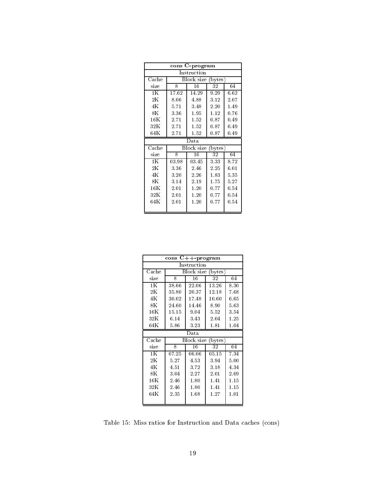| cons C-program         |                                  |            |         |          |  |  |
|------------------------|----------------------------------|------------|---------|----------|--|--|
|                        | Instruction                      |            |         |          |  |  |
| $\operatorname{Cache}$ | Block size<br>$(\mathrm{bytes})$ |            |         |          |  |  |
| size                   | 8                                | 16         | 32      | 64       |  |  |
| 1 K                    | 17.62                            | 14.29      | 9.29    | 6.62     |  |  |
| $2\,{\rm K}$           | 8.06                             | 4.88       | 3.12    | 2.07     |  |  |
| 4K                     | 5.71                             | 3.48       | 2.20    | $1.49\,$ |  |  |
| $8\,\mathrm{K}$        | 3.36                             | 1.95       | 1.12    | 0.76     |  |  |
| $16\,\mathrm{K}$       | 2.71                             | 1.52       | 0.87    | 0.49     |  |  |
| 32K                    | 2.71                             | 1.52       | 0.87    | 0.49     |  |  |
| 64K                    | 2.71                             | 1.52       | 0.87    | 0.49     |  |  |
|                        |                                  |            |         |          |  |  |
|                        |                                  | Data       |         |          |  |  |
| Cache                  |                                  | Block size | (bytes) |          |  |  |
| size                   | 8                                | 16         | 32      | 64       |  |  |
| 1 K                    | 03.98                            | 03.45      | 3.33    | 8.72     |  |  |
| $2\,{\rm K}$           | 3.36                             | 2.46       | 2.25    | 6.01     |  |  |
| 4K                     | 3.20                             | 2.26       | 1.83    | 5.35     |  |  |
| $8\,\mathrm{K}$        | 3.14                             | 2.19       | 1.75    | 5.27     |  |  |
| $16\,\mathrm{K}$       | 2.01                             | 1.20       | 0.77    | 0.54     |  |  |
| 32K                    | 2.01                             | 1.20       | 0.77    | 0.54     |  |  |
| 64K                    | 2.01                             | 1.20       | 0.77    | 0.54     |  |  |

|                        | cons  | $C++-program$      |         |      |
|------------------------|-------|--------------------|---------|------|
|                        |       | Instruction        |         |      |
| $\operatorname{Cache}$ |       | Block size (bytes) |         |      |
| size                   | 8     | 16                 | 32      | 64   |
| 1K                     | 38.66 | 22.06              | 13.26   | 8.30 |
| $2\mathrm{K}$          | 35.80 | 20.37              | 12.18   | 7.68 |
| 4K                     | 30.02 | 17.48              | 10.60   | 6.65 |
| $8\mathrm{K}$          | 24.60 | 14.46              | 8.90    | 5.63 |
| $16\mathrm{K}$         | 15.15 | 9.04               | 5.52    | 3.54 |
| 32K                    | 6.14  | 3.43               | 2.04    | 1.25 |
| 64K                    | 5.86  | 3.23               | 1.81    | 1.04 |
|                        |       |                    |         |      |
|                        |       | Data               |         |      |
| Cache                  |       | Block size         | (bytes) |      |
| size                   | 8     | 16                 | 32      | 64   |
| 1Κ                     | 07.25 | 06.06              | 05.15   | 7.34 |
| $2\mathrm{K}$          | 5.27  | 4.53               | 3.94    | 5.00 |
| 4K                     | 4.51  | 3.72               | 3.18    | 4.34 |
| $8\mathrm{K}$          | 3.04  | 2.27               | 2.01    | 2.69 |
| $16\mathrm{K}$         | 2.46  | 1.80               | 1.41    | 1.15 |
| 32K                    | 2.46  | 1.80               | 1.41    | 1.15 |
| 64K                    | 2.35  | 1.68               | 1.27    | 1.01 |

Table 15: Miss ratios for Instruction and Data caches (cons)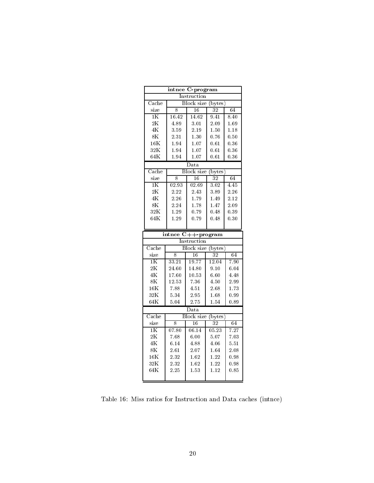|                           |                    | intnce C-program             |                                   |      |
|---------------------------|--------------------|------------------------------|-----------------------------------|------|
|                           |                    | Instruction                  |                                   |      |
| $\overline{\text{Cache}}$ |                    | <b>Block</b> size            | $_{\text{bytes}}$                 |      |
| size                      | 8                  | 16                           | 32                                | 64   |
| $1\overline{\text{K}}$    | 16.42              | 14.62                        | 9.41                              | 8.40 |
| 2K                        | 4.89               | 3.01                         | 2.09                              | 1.69 |
| 4K                        | 3.59               | 2.19                         | 1.50                              | 1.18 |
| 8K                        | 2.31               | 1.30                         | 0.76                              | 0.50 |
| $16\,\mathrm{K}$          | 1.94               | 1.07                         | 0.61                              | 0.36 |
| 32K                       | 1.94               | 1.07                         | 0.61                              | 0.36 |
| 64K                       | 1.94               | 1.07                         | 0.61                              | 0.36 |
|                           |                    | $_{\text{Data}}$             |                                   |      |
| $\overline{\text{Cache}}$ |                    | <b>Block</b> size            | (bytes)                           |      |
| size                      | 8                  | 16                           | 32                                | 64   |
| $\overline{1K}$           | $\overline{02.93}$ | 02.69                        | 3.02                              | 4.45 |
| 2K                        | 2.22               | 2.43                         | 3.89                              | 2.26 |
| 4K                        | 2.26               | 1.79                         | 1.49                              | 2.12 |
| 8K                        | 2.24               | 1.78                         | 1.47                              | 2.09 |
| 32K                       | 1.29               | 0.79                         | 0.48                              | 0.39 |
| 64K                       | 1.29               | 0.79                         | 0.48                              | 0.30 |
|                           |                    |                              |                                   |      |
|                           |                    |                              |                                   |      |
|                           | intnce             |                              |                                   |      |
|                           |                    | $C++-program$<br>Instruction |                                   |      |
| $\overline{\text{Cache}}$ |                    | Block size                   |                                   |      |
| size                      | 8                  | 16                           | $(\overline{\text{bytes}})$<br>32 | 64   |
| $\overline{1K}$           | 33.21              | 19.77                        | 12.04                             | 7.90 |
| 2K                        | 24.60              | 14.80                        | 9.10                              | 6.04 |
| 4K                        | 17.60              | 10.53                        | 6.60                              | 4.48 |
| 8K                        | 12.53              | 7.36                         | 4.50                              | 2.99 |
| 16K                       | 7.88               | 4.51                         | 2.68                              | 1.73 |
| 32K                       | 5.34               | 2.95                         | 1.68                              | 0.99 |
| 64K                       | 5.04               | 2.75                         | 1.54                              | 0.89 |
|                           |                    | Data                         |                                   |      |
| $\operatorname{Cache}$    |                    | <b>Block</b> size            | bytes)                            |      |
| size                      | 8                  | 16                           | $\overline{32}$                   | 64   |
| $\overline{1K}$           | 07.80              | 06.14                        | 05.23                             | 7.27 |
| 2K                        | 7.68               | 6.00                         | 5.07                              | 7.03 |
| $4\mathrm{K}$             | 6.14               | 4.88                         | 4.06                              | 5.51 |
| 8 <sub>K</sub>            | 2.61               | 2.07                         | 1.64                              | 2.08 |
| $16\mathrm{K}$            | 2.32               | 1.62                         | 1.22                              | 0.98 |
| 32K                       | 2.32               | 1.62                         | 1.22                              | 0.98 |
| 64K                       | 2.25               | 1.53                         | 1.12                              | 0.85 |

Table 16: Miss ratios for Instruction and Data caches (intnce)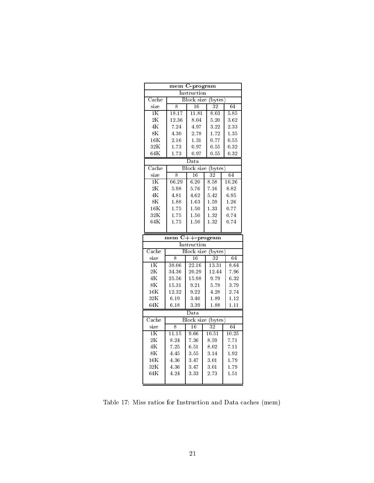|                           |       | mem C-program     |                                  |       |
|---------------------------|-------|-------------------|----------------------------------|-------|
|                           |       | Instruction       |                                  |       |
| $\overline{\text{Cache}}$ |       | <b>Block</b> size | bytes)                           |       |
| size                      | 8     | 16                | 32                               | 64    |
| $1\overline{\text{K}}$    | 18.17 | 11.81             | 8.03                             | 5.85  |
| 2K                        | 12.36 | 8.04              | 5.20                             | 3.62  |
| 4K                        | 7.24  | 4.97              | 3.22                             | 2.33  |
| 8K                        | 4.30  | 2.78              | 1.72                             | 135   |
| $16\,\mathrm{K}$          | 2.16  | 1.31              | 0.77                             | 0.55  |
| 32K                       | 1.73  | 0.97              | 0.55                             | 0.32  |
| 64K                       | 1.73  | 0.97              | 0.55                             | 0.32  |
|                           |       | $_{\text{Data}}$  |                                  |       |
| $\operatorname{Cache}$    |       |                   | Block size (bytes)               |       |
| size                      | 8     | 16                | 32                               | 64    |
| 1K                        | 06.29 | 6.20              | 8.58                             | 10.26 |
| 2K                        | 5.98  | 5.76              | 7.16                             | 8.82  |
| 4K                        | 4.81  | 4.62              | 5.42                             | 6.95  |
| 8K                        | 1.88  | 1.63              | 1.59                             | 1.26  |
| 16K                       | 1.75  | 1.50              | 1.33                             | 0.77  |
| 32K                       | 1.75  | 1.50              | 1.32                             | 0.74  |
| 64K                       | 1.75  | 1.50              | 1.32                             | 0.74  |
|                           |       |                   |                                  |       |
|                           |       |                   |                                  |       |
|                           | mem   |                   | $\overline{\text{C++}}$ -program |       |
|                           |       | Instruction       |                                  |       |
| $\overline{\text{Cache}}$ |       |                   | Block size (bytes)               |       |
| size                      | 8     | 16                | 32                               | 64    |
| $1\overline{\text{K}}$    | 38.06 | 22.16             | 13.31                            | 8.64  |
| 2K                        | 34.36 | 20.29             | 12.44                            | 7.96  |
| 4K                        | 25.56 | 15.98             | 9.79                             | 6.32  |
| 8K                        | 15.31 | 9.21              | 5.78                             | 3.79  |
| 16K                       | 12.32 | 9.22              | 4.28                             | 2.74  |
| 32K                       | 6.19  | 3.40              | 1.89                             | 1.12  |
| 64K                       | 6.18  | 3.39              | 1.88                             | 1.11  |
|                           |       | Data              |                                  |       |
| Cache                     |       |                   | Block size (bytes)               |       |
| size                      | 8     | 16                | 32                               | 64    |
| $1\overline{\text{K}}$    | 11.15 | 9.66              | 10.51                            | 10.25 |
| 2K                        | 8.24  | 7.36              | 8.59                             | 7.71  |
| $4\mathrm{K}$             | 7.25  | 6.51              | 8.02                             | 7.11  |
| 8K                        | 4.45  | 3.55              | 3.14                             | 1.92  |
| 16K                       | 4.36  | 3.47              | 3.01                             | 1.79  |
| 32K                       | 4.36  | 3.47              | 3.01                             | 1.79  |
| 64K                       | 4.24  | 333               | 2.73                             | 1.51  |

Table 17: Miss ratios for Instruction and Data caches (mem)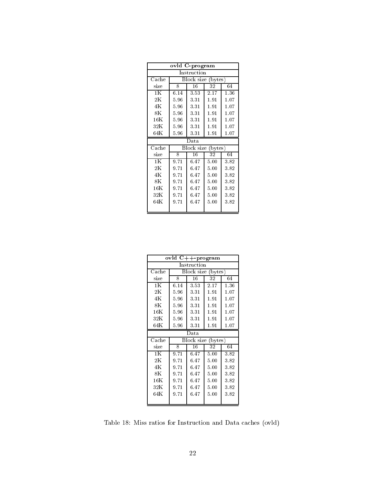| ovld C-program         |             |            |                    |      |  |  |
|------------------------|-------------|------------|--------------------|------|--|--|
|                        | Instruction |            |                    |      |  |  |
| $\operatorname{Cache}$ |             | Block size | $(\text{bytes})$   |      |  |  |
| size                   | 8           | 16         | 32                 | 64   |  |  |
| 1K                     | 6.14        | 3.53       | 2.17               | 1.36 |  |  |
| $2\mathrm{K}$          | 5.96        | 3.31       | 1.91               | 1.07 |  |  |
| 4Κ                     | 5.96        | 3.31       | 1.91               | 1.07 |  |  |
| $8\mathrm{K}$          | 5.96        | 3.31       | 1.91               | 1.07 |  |  |
| $16\mathrm{K}$         | 5.96        | 3.31       | 1.91               | 1.07 |  |  |
| 32K                    | 5.96        | 3.31       | 1.91               | 1.07 |  |  |
| $64\mathrm{K}$         | 5.96        | 3.31       | 1.91               | 1.07 |  |  |
|                        |             |            |                    |      |  |  |
|                        |             | Data       |                    |      |  |  |
| Cache                  |             | Block size | $(\mathrm{bytes})$ |      |  |  |
| size                   | 8           | 16         | 32                 | 64   |  |  |
| 1K                     | 9.71        | 6.47       | 5.00               | 3.82 |  |  |
| $2\mathrm{K}$          | 9.71        | 6.47       | 5.00               | 3.82 |  |  |
| 4K                     | 9.71        | 6.47       | 5.00               | 3.82 |  |  |
| $8\mathrm{K}$          | 9.71        | 6.47       | $5.00\,$           | 3.82 |  |  |
| $16\mathrm{K}$         | 9.71        | 6.47       | 5.00               | 3.82 |  |  |
| 32K                    | 9.71        | 6.47       | 5.00               | 3.82 |  |  |
| $64\mathrm{K}$         | 9.71        | 6.47       | $5.00\,$           | 3.82 |  |  |

|                        |      | $\overline{\text{ovld}}$ C++-program |                    |      |
|------------------------|------|--------------------------------------|--------------------|------|
|                        |      | Instruction                          |                    |      |
| $\operatorname{Cache}$ |      | Block size (bytes)                   |                    |      |
| size                   | 8    | 16                                   | 32                 | 64   |
| 1K                     | 6.14 | 3.53                                 | 2.17               | 1.36 |
| $2\mathrm{K}$          | 5.96 | 3.31                                 | $1.91\,$           | 1.07 |
| 4Κ                     | 5.96 | 3.31                                 | 1.91               | 1.07 |
| $8\mathrm{K}$          | 5.96 | 3.31                                 | 1.91               | 1.07 |
| 16K                    | 5.96 | 3.31                                 | 1.91               | 1.07 |
| 32K                    | 5.96 | 3.31                                 | 1.91               | 1.07 |
| $64\mathrm{K}$         | 5.96 | 3.31                                 | 1.91               | 1.07 |
|                        |      |                                      |                    |      |
|                        |      | Data                                 |                    |      |
| $\operatorname{Cache}$ |      | Block size                           | $(\mathrm{bytes})$ |      |
| size                   | 8    | 16                                   | 32                 | 64   |
| 1K                     | 9.71 | 6.47                                 | 5.00               | 3.82 |
| $2\mathrm{K}$          | 9.71 | 6.47                                 | 5.00               | 3.82 |
| 4K                     | 9.71 | 6.47                                 | 5.00               | 3.82 |
| $8\mathrm{K}$          | 9.71 | 6.47                                 | 5.00               | 3.82 |
| $16\mathrm{K}$         | 9.71 | 6.47                                 | 5.00               | 3.82 |
| 32K                    | 9.71 | 6.47                                 | 5.00               | 3.82 |
| $64\mathrm{K}$         | 9.71 | 6.47                                 | 5.00               | 3.82 |

Table 18: Miss ratios for Instruction and Data caches (ovld)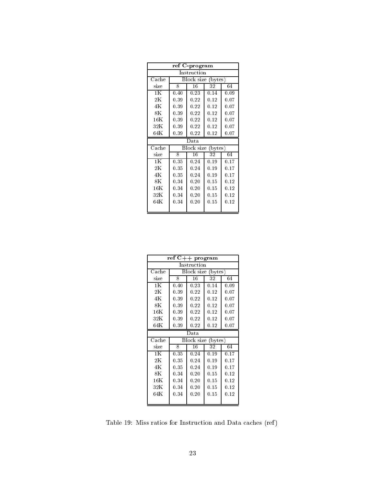| ref C-program  |      |                    |                  |      |  |
|----------------|------|--------------------|------------------|------|--|
| Instruction    |      |                    |                  |      |  |
| $_{\rm Cache}$ |      | Block size         | $(\text{bytes})$ |      |  |
| size           | 8    | 16                 | 32               | 64   |  |
| 1K             | 0.40 | 0.23               | 0.14             | 0.09 |  |
| $2\mathrm{K}$  | 0.39 | 0.22               | 0.12             | 0.07 |  |
| 4Κ             | 0.39 | 0.22               | 0.12             | 0.07 |  |
| 8K             | 0.39 | 0.22               | 0.12             | 0.07 |  |
| $16\mathrm{K}$ | 0.39 | 0.22               | 0.12             | 0.07 |  |
| 32K            | 0.39 | 0.22               | 0.12             | 0.07 |  |
| $64\mathrm{K}$ | 0.39 | 0.22               | 0.12             | 0.07 |  |
|                |      |                    |                  |      |  |
|                |      | Data               |                  |      |  |
| Cache          |      | Block size (bytes) |                  |      |  |
| size           | 8    | 16                 | 32               | 64   |  |
| 1K             | 0.35 | 0.24               | 0.19             | 0.17 |  |
| $2\mathrm{K}$  | 0.35 | 0.24               | 0.19             | 0.17 |  |
| 4K             | 0.35 | 0.24               | 0.19             | 0.17 |  |
| $8\mathrm{K}$  | 0.34 | 0.20               | 0.15             | 0.12 |  |
| $16\mathrm{K}$ | 0.34 | 0.20               | 0.15             | 0.12 |  |
| 32K            | 0.34 | 0.20               | 0.15             | 0.12 |  |
| $64\mathrm{K}$ | 0.34 | 0.20               | 0.15             | 0.12 |  |

| $\overline{\operatorname{ref}}$ C++ program |                    |            |                  |      |  |  |  |  |  |
|---------------------------------------------|--------------------|------------|------------------|------|--|--|--|--|--|
| Instruction                                 |                    |            |                  |      |  |  |  |  |  |
| Cache                                       | Block size (bytes) |            |                  |      |  |  |  |  |  |
| size                                        | 8                  | 16         | 32               | 64   |  |  |  |  |  |
| 1K                                          | 0.40               | 0.23       | 0.14             | 0.09 |  |  |  |  |  |
| $2\mathrm{K}$                               | 0.39               | 0.22       | 0.12             | 0.07 |  |  |  |  |  |
| 4Κ                                          | 0.39               | 0.22       | 0.12             | 0.07 |  |  |  |  |  |
| $8\mathrm{K}$                               | 0.39               | 0.22       | 0.12             | 0.07 |  |  |  |  |  |
| $16\mathrm{K}$                              | 0.39               | 0.22       | 0.12             | 0.07 |  |  |  |  |  |
| $32\mathrm{K}$                              | 0.39               | 0.22       | 0.12             | 0.07 |  |  |  |  |  |
| $64\mathrm{K}$                              | 0.39               | 0.22       | 0.12             | 0.07 |  |  |  |  |  |
| Data                                        |                    |            |                  |      |  |  |  |  |  |
|                                             |                    |            |                  |      |  |  |  |  |  |
| $\operatorname{Cache}$                      |                    | Block size | $(\text{bytes})$ |      |  |  |  |  |  |
| size                                        | 8                  | 16         | 32               | 64   |  |  |  |  |  |
| 1K                                          | 0.35               | 0.24       | 0.19             | 0.17 |  |  |  |  |  |
| $2\mathrm{K}$                               | 0.35               | 0.24       | 0.19             | 0.17 |  |  |  |  |  |
| 4Κ                                          | 0.35               | 0.24       | 0.19             | 0.17 |  |  |  |  |  |
| $8\mathrm{K}$                               | 0.34               | 0.20       | 0.15             | 0.12 |  |  |  |  |  |
| 16K                                         | 0.34               | 0.20       | 0.15             | 0.12 |  |  |  |  |  |
| 32K                                         | 0.34               | 0.20       | 0.15             | 0.12 |  |  |  |  |  |
| $64\mathrm{K}$                              | 0.34               | 0.20       | 0.15             | 0.12 |  |  |  |  |  |

Table 19: Miss ratios for Instruction and Data caches (ref)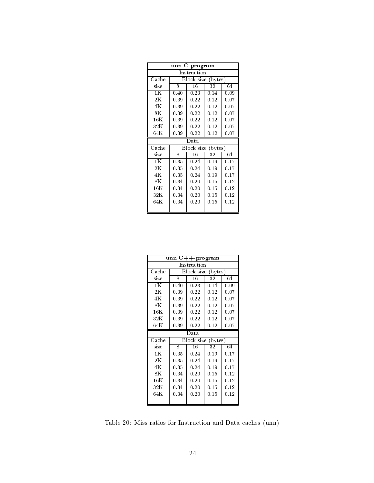| C-program<br>unn |      |                                |      |      |  |  |  |  |  |
|------------------|------|--------------------------------|------|------|--|--|--|--|--|
| Instruction      |      |                                |      |      |  |  |  |  |  |
| $_{\rm Cache}$   |      | Block size<br>$(\text{bytes})$ |      |      |  |  |  |  |  |
| size             | 8    | 16                             | 32   | 64   |  |  |  |  |  |
| 1K               | 0.40 | 0.23                           | 0.14 | 0.09 |  |  |  |  |  |
| $2\mathrm{K}$    | 0.39 | 0.22                           | 0.12 | 0.07 |  |  |  |  |  |
| 4Κ               | 0.39 | 0.22                           | 0.12 | 0.07 |  |  |  |  |  |
| 8K               | 0.39 | 0.22                           | 0.12 | 0.07 |  |  |  |  |  |
| $16\mathrm{K}$   | 0.39 | 0.22                           | 0.12 | 0.07 |  |  |  |  |  |
| 32K              | 0.39 | 0.22                           | 0.12 | 0.07 |  |  |  |  |  |
| $64\mathrm{K}$   | 0.39 | 0.22                           | 0.12 | 0.07 |  |  |  |  |  |
| Data             |      |                                |      |      |  |  |  |  |  |
|                  |      |                                |      |      |  |  |  |  |  |
| Cache            |      | Block size (bytes)             |      |      |  |  |  |  |  |
| size             | 8    | 16                             | 32   | 64   |  |  |  |  |  |
| 1K               | 0.35 | 0.24                           | 0.19 | 0.17 |  |  |  |  |  |
| $2\mathrm{K}$    | 0.35 | 0.24                           | 0.19 | 0.17 |  |  |  |  |  |
| 4K               | 0.35 | 0.24                           | 0.19 | 0.17 |  |  |  |  |  |
| 8K               | 0.34 | 0.20                           | 0.15 | 0.12 |  |  |  |  |  |
| $16\mathrm{K}$   | 0.34 | 0.20                           | 0.15 | 0.12 |  |  |  |  |  |
| 32K              | 0.34 | 0.20                           | 0.15 | 0.12 |  |  |  |  |  |
| $64\mathrm{K}$   | 0.34 | 0.20                           | 0.15 | 0.12 |  |  |  |  |  |

| $C++-program$<br>unn   |                       |                    |      |      |  |  |  |  |  |
|------------------------|-----------------------|--------------------|------|------|--|--|--|--|--|
| Instruction            |                       |                    |      |      |  |  |  |  |  |
| Cache                  | Block size<br>(bytes) |                    |      |      |  |  |  |  |  |
| size                   | 8                     | 16                 | 32   | 64   |  |  |  |  |  |
| 1K                     | 0.40                  | 0.23               | 0.14 | 0.09 |  |  |  |  |  |
| $2\mathrm{K}$          | 0.39                  | 0.22               | 0.12 | 0.07 |  |  |  |  |  |
| 4Κ                     | 0.39                  | 0.22               | 0.12 | 0.07 |  |  |  |  |  |
| $8\mathrm{K}$          | 0.39                  | 0.22               | 0.12 | 0.07 |  |  |  |  |  |
| $16\mathrm{K}$         | 0.39                  | 0.22               | 0.12 | 0.07 |  |  |  |  |  |
| 32K                    | 0.39                  | 0.22               | 0.12 | 0.07 |  |  |  |  |  |
| $64\mathrm{K}$         | 0.39                  | 0.22               | 0.12 | 0.07 |  |  |  |  |  |
| Data                   |                       |                    |      |      |  |  |  |  |  |
|                        |                       |                    |      |      |  |  |  |  |  |
| $\operatorname{Cache}$ |                       | Block size (bytes) |      |      |  |  |  |  |  |
| size                   | 8                     | 16                 | 32   | 64   |  |  |  |  |  |
| 1K                     | 0.35                  | 0.24               | 0.19 | 0.17 |  |  |  |  |  |
| $2\mathrm{K}$          | 0.35                  | 0.24               | 0.19 | 0.17 |  |  |  |  |  |
| 4Κ                     | 0.35                  | 0.24               | 0.19 | 0.17 |  |  |  |  |  |
| $8\mathrm{K}$          | 0.34                  | 0.20               | 0.15 | 0.12 |  |  |  |  |  |
| $16\mathrm{K}$         | 0.34                  | 0.20               | 0.15 | 0.12 |  |  |  |  |  |
| 32K                    | 0.34                  | 0.20               | 0.15 | 0.12 |  |  |  |  |  |
| $64\mathrm{K}$         | 0.34                  | 0.20               | 0.15 | 0.12 |  |  |  |  |  |

Table 20: Miss ratios for Instruction and Data caches (unn)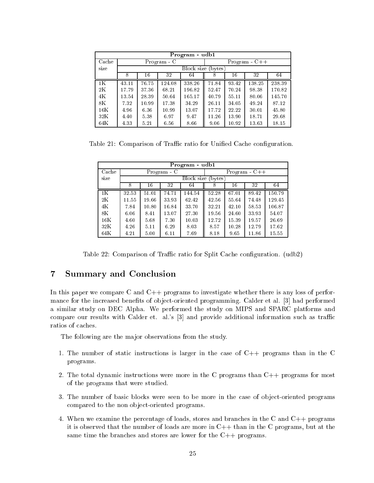|                 | Program - udb1 |       |           |                    |       |       |                 |        |  |  |  |
|-----------------|----------------|-------|-----------|--------------------|-------|-------|-----------------|--------|--|--|--|
| Cache           |                |       | Program C |                    |       |       | $Program - C++$ |        |  |  |  |
| size            |                |       |           | Block size (bytes) |       |       |                 |        |  |  |  |
|                 | 8              | 16    | 32        | 64                 | 8     | 16    | 32              | 64     |  |  |  |
| 1K              | 43.11          | 76.75 | 124.08    | 338.26             | 71.84 | 93.42 | 138.25          | 238.39 |  |  |  |
| 2K              | 17.79          | 37.36 | 68.21     | 196.82             | 52.47 | 70.24 | 98.38           | 170.82 |  |  |  |
| 4K              | 13.54          | 28.39 | 50.64     | 165.17             | 40.79 | 55.11 | 80.06           | 145.70 |  |  |  |
| $8\,\mathrm{K}$ | 7.32           | 10.99 | 17.38     | 34.29              | 26.11 | 34.05 | 49.24           | 87.12  |  |  |  |
| 16K             | 4.96           | 6.36  | 10.99     | 13.07              | 17.72 | 22.22 | 30.01           | 45.80  |  |  |  |
| 32K             | 4.40           | 5.38  | 6.97      | 9.47               | 11.26 | 13.90 | 18.71           | 29.68  |  |  |  |
| 64K             | 4.33           | 5.21  | 6.56      | 8.66               | 9.06  | 10.92 | 13.63           | 18.15  |  |  |  |

Table 21: Comparison of Traffic ratio for Unified Cache configuration.

|                 | Program - udb1 |       |           |                    |       |       |                 |        |  |  |  |
|-----------------|----------------|-------|-----------|--------------------|-------|-------|-----------------|--------|--|--|--|
| Cache           |                |       | Program C |                    |       |       | $Program - C++$ |        |  |  |  |
| size            |                |       |           | Block size (bytes) |       |       |                 |        |  |  |  |
|                 | 8              | 16    | 32        | 64                 | 8     | 16    | 32              | 64     |  |  |  |
| 1 <sub>K</sub>  | 32.53          | 51.01 | 74.71     | 144.54             | 52.28 | 67.01 | 89.42           | 150.79 |  |  |  |
| 2K              | 11.55          | 19.66 | 33.93     | 62.42              | 42.56 | 55.64 | 74.48           | 129.45 |  |  |  |
| 4K              | 7.84           | 10.80 | 16.84     | 33.70              | 32.21 | 42.10 | 58.53           | 106.87 |  |  |  |
| $8\,\mathrm{K}$ | 6.06           | 8.41  | 13.07     | 27.30              | 19.56 | 24.60 | 33.93           | 54.07  |  |  |  |
| 16K             | 4.60           | 5.68  | 7.30      | 10.03              | 12.72 | 15.39 | 19.57           | 26.69  |  |  |  |
| 32K             | 4.26           | 5.11  | 6.29      | 8.03               | 8.57  | 10.28 | 12.79           | 17.62  |  |  |  |
| 64K             | 4.21           | 5.00  | 6.11      | 7.69               | 8.18  | 9.65  | 11.86           | 15.55  |  |  |  |

Table 22: Comparison of Traffic ratio for Split Cache configuration. (udb2)

### 7Summary and Conclusion

In this paper we compare C and C++ programs to investigate whether there is any loss of performance for the increased benefits of object-oriented programming. Calder et al. [3] had performed a similar study on DEC Alpha. We performed the study on MIPS and SPARC platforms and compare our results with Calder et. al.'s  $[3]$  and provide additional information such as traffic ratios of caches.

The following are the major observations from the study.

- 1. The number of static instructions is larger in the case of  $C++$  programs than in the C programs.
- 2. The total dynamic instructions were more in the C programs than  $C++$  programs for most of the programs that were studied.
- 3. The number of basic blocks were seen to be more in the case of object-oriented programs compared to the non object-oriented programs.
- 4. When we examine the percentage of loads, stores and branches in the C and C++ programs it is observed that the number of loads are more in  $C++$  than in the C programs, but at the same time the branches and stores are lower for the C++ programs.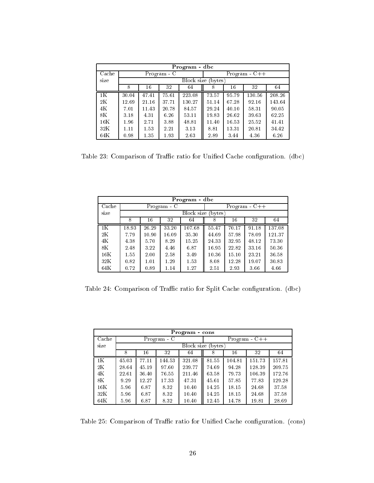|                | Program - dbc |       |             |        |                    |       |                 |        |  |  |  |
|----------------|---------------|-------|-------------|--------|--------------------|-------|-----------------|--------|--|--|--|
| Cache          |               |       | Program - C |        |                    |       | $Program - C++$ |        |  |  |  |
| size           |               |       |             |        | Block size (bytes) |       |                 |        |  |  |  |
|                | 8             | 16    | 32          | 64     | 8                  | 16    | 32              | 64     |  |  |  |
| 1 <sup>K</sup> | 30.04         | 47.41 | 75.61       | 223.08 | 73.57              | 95.79 | 130.56          | 208.26 |  |  |  |
| 2K             | 12.69         | 21.16 | 37.71       | 130.27 | 51.14              | 67.28 | 92.16           | 143.64 |  |  |  |
| 4K             | 7.01          | 11.43 | 20.78       | 84.57  | 29.24              | 40.10 | 58.31           | 90.05  |  |  |  |
| 8K             | 3.18          | 4.31  | 6.26        | 53.11  | 19.83              | 26.62 | 39.63           | 62.25  |  |  |  |
| 16K            | 1.96          | 2.71  | 3.88        | 48.81  | 11.40              | 16.53 | 25.52           | 41.41  |  |  |  |
| 32K            | 1.11          | 1.53  | 2.21        | 3.13   | 8.81               | 13.31 | 20.81           | 34.42  |  |  |  |
| 64K            | 0.98          | 1.35  | 1.93        | 2.63   | 2.89               | 3.44  | 4.36            | 6.26   |  |  |  |

Table 23: Comparison of Traffic ratio for Unified Cache configuration. (dbc)

|                 | Program - dbc |       |           |                    |       |       |                 |        |  |  |  |  |
|-----------------|---------------|-------|-----------|--------------------|-------|-------|-----------------|--------|--|--|--|--|
| Cache           |               |       | Program C |                    |       |       | $Program - C++$ |        |  |  |  |  |
| size            |               |       |           | Block size (bytes) |       |       |                 |        |  |  |  |  |
|                 | 8             | 16    | 32        | 64                 | 8     | 16    | 32              | 64     |  |  |  |  |
| 1 <sub>K</sub>  | 18.93         | 26.29 | 33.20     | 107.68             | 55.47 | 70.17 | 91.18           | 137.08 |  |  |  |  |
| 2K              | 7.79          | 10.90 | 16.09     | 35.30              | 44.69 | 57.98 | 78.09           | 121.37 |  |  |  |  |
| 4K              | 4.38          | 5.70  | 8.29      | 15.25              | 24.33 | 32.95 | 48.12           | 73.30  |  |  |  |  |
| $8\,\mathrm{K}$ | 2.48          | 3.22  | 4.46      | 6.87               | 16.95 | 22.82 | 33.16           | 50.36  |  |  |  |  |
| 16K             | 1.55          | 2.00  | 2.58      | 3.49               | 10.36 | 15.10 | 23.21           | 36.58  |  |  |  |  |
| 32K             | 0.82          | 1.01  | 1.29      | 1.53               | 8.08  | 12.28 | 19.07           | 30.83  |  |  |  |  |
| 64K             | 0.72          | 0.89  | 1.14      | 1.27               | 2.51  | 2.93  | 3.66            | 4.66   |  |  |  |  |

Table 24: Comparison of Traffic ratio for Split Cache configuration. (dbc)

|                        | Program - cons |       |           |        |                    |        |                 |        |  |  |  |  |
|------------------------|----------------|-------|-----------|--------|--------------------|--------|-----------------|--------|--|--|--|--|
| $\operatorname{Cache}$ |                |       | Program C |        |                    |        | $Program - C++$ |        |  |  |  |  |
| size                   |                |       |           |        | Block size (bytes) |        |                 |        |  |  |  |  |
|                        | 8              | 16    | 32        | 64     | 8                  | 16     | 32              | 64     |  |  |  |  |
| 1 <sub>K</sub>         | 45.03          | 77.11 | 144.53    | 321.08 | 81.55              | 104.81 | 151.73          | 157.81 |  |  |  |  |
| 2K                     | 28.64          | 45.19 | 97.60     | 239.77 | 74.69              | 94.28  | 128.39          | 209.75 |  |  |  |  |
| 4K                     | 22.61          | 36.40 | 76.55     | 211.46 | 63.58              | 79.73  | 106.39          | 172.76 |  |  |  |  |
| $8\,\mathrm{K}$        | 9.29           | 12.27 | 17.33     | 47.31  | 45.61              | 57.85  | 77.83           | 129.28 |  |  |  |  |
| 16K                    | 5.96           | 6.87  | 8.32      | 10.40  | 14.25              | 18.15  | 24.68           | 37.58  |  |  |  |  |
| 32K                    | 5.96           | 6.87  | 8.32      | 10.40  | 14.25              | 18.15  | 24.68           | 37.58  |  |  |  |  |
| 64K                    | 5.96           | 6.87  | 8.32      | 10.40  | 12.45              | 14.78  | 19.81           | 28.69  |  |  |  |  |

Table 25: Comparison of Traffic ratio for Unified Cache configuration. (cons)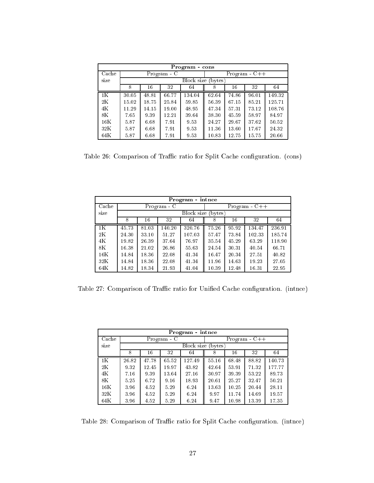|                | Program cons |       |             |                    |       |       |                 |        |  |  |  |
|----------------|--------------|-------|-------------|--------------------|-------|-------|-----------------|--------|--|--|--|
| Cache          |              |       | Program - C |                    |       |       | $Program - C++$ |        |  |  |  |
| size           |              |       |             | Block size (bytes) |       |       |                 |        |  |  |  |
|                | 8            | 16    | 32          | 64                 | 8     | 16    | 32              | 64     |  |  |  |
| 1 <sup>K</sup> | 30.05        | 48.81 | 66.77       | 134.04             | 62.64 | 74.86 | 96.01           | 149.32 |  |  |  |
| 2K             | 15.02        | 18.75 | 25.84       | 59.85              | 56.39 | 67.15 | 85.21           | 125.71 |  |  |  |
| 4K             | 11.29        | 14.15 | 19.00       | 48.95              | 47.34 | 57.31 | 73.12           | 108.76 |  |  |  |
| 8K             | 7.65         | 9.39  | 12.21       | 39.64              | 38.30 | 45.59 | 58.97           | 84.97  |  |  |  |
| 16K            | 5.87         | 6.68  | 7.91        | 9.53               | 24.27 | 29.67 | 37.62           | 50.52  |  |  |  |
| 32K            | 5.87         | 6.68  | 7.91        | 9.53               | 11.36 | 13.60 | 17.67           | 24.32  |  |  |  |
| 64K            | 5.87         | 6.68  | 7.91        | 9.53               | 10.83 | 12.75 | 15.75           | 20.66  |  |  |  |

Table 26: Comparison of Traffic ratio for Split Cache configuration. (cons)

|                 | Program intnce |       |             |                    |       |       |                 |        |  |  |  |  |
|-----------------|----------------|-------|-------------|--------------------|-------|-------|-----------------|--------|--|--|--|--|
| Cache           |                |       | Program - C |                    |       |       | $Program - C++$ |        |  |  |  |  |
| size            |                |       |             | Block size (bytes) |       |       |                 |        |  |  |  |  |
|                 | 8              | 16    | 32          | 64                 | 8     | 16    | 32              | 64     |  |  |  |  |
| 1 <sup>K</sup>  | 45.73          | 81.03 | 140.20      | 320.76             | 75.26 | 95.92 | 134.47          | 236.91 |  |  |  |  |
| $2\,\mathrm{K}$ | 24.30          | 33.10 | 51.27       | 107.03             | 57.47 | 73.84 | 102.33          | 185.74 |  |  |  |  |
| 4K              | 19.82          | 26.39 | 37.64       | 76.97              | 35.54 | 45.29 | 63.29           | 118.90 |  |  |  |  |
| 8K              | 16.38          | 21.02 | 26.86       | 55.63              | 24.54 | 30.31 | 40.54           | 66.71  |  |  |  |  |
| 16K             | 14.84          | 18.36 | 22.08       | 41.34              | 16.47 | 20.34 | 27.51           | 40.82  |  |  |  |  |
| 32K             | 14.84          | 18.36 | 22.08       | 41.34              | 11.96 | 14.63 | 19.23           | 27.05  |  |  |  |  |
| 64K             | 14.82          | 18.34 | 21.93       | 41.04              | 10.39 | 12.48 | 16.31           | 22.95  |  |  |  |  |

Table 27: Comparison of Traffic ratio for Unified Cache configuration. (intnce)

|                 | Program - intnce |       |             |            |        |       |                 |        |  |  |  |
|-----------------|------------------|-------|-------------|------------|--------|-------|-----------------|--------|--|--|--|
| Cache           |                  |       | Program - C |            |        |       | $Program - C++$ |        |  |  |  |
| size            |                  |       |             | Block size | bytes) |       |                 |        |  |  |  |
|                 | 8                | 16    | 32          | 64         | 8      | 16    | 32              | 64     |  |  |  |
| 1 <sub>K</sub>  | 26.82            | 47.78 | 65.52       | 127.49     | 55.16  | 68.48 | 88.82           | 140.73 |  |  |  |
| 2K              | 9.32             | 12.45 | 19.97       | 43.82      | 42.64  | 53.91 | 71.32           | 177.77 |  |  |  |
| 4K              | 7.16             | 9.39  | 13.64       | 27.16      | 30.97  | 39.39 | 53.22           | 89.73  |  |  |  |
| $8\,\mathrm{K}$ | 5.25             | 6.72  | 9.16        | 18.93      | 20.61  | 25.27 | 32.47           | 50.21  |  |  |  |
| 16K             | 3.96             | 4.52  | 5.29        | 6.24       | 13.63  | 10.25 | 20.44           | 28.11  |  |  |  |
| 32K             | 3.96             | 4.52  | 5.29        | 6.24       | 9.97   | 11.74 | 14.69           | 19.57  |  |  |  |
| 64K             | 3.96             | 4.52  | 5.29        | 6.24       | 9.47   | 10.98 | 13.39           | 17.35  |  |  |  |

Table 28: Comparison of Traffic ratio for Split Cache configuration. (intnce)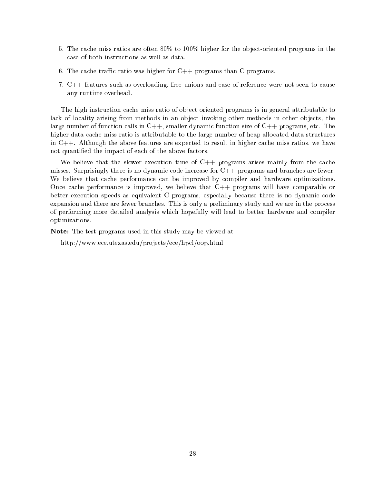- 5. The cache miss ratios are often  $80\%$  to  $100\%$  higher for the object-oriented programs in the case of both instructions as well as data.
- 6. The cache traffic ratio was higher for  $C_{++}$  programs than C programs.
- 7. C++ features such as overloading, free unions and ease of reference were not seen to cause any runtime overhead.

The high instruction cache miss ratio of object oriented programs is in general attributable to lack of locality arising from methods in an object invoking other methods in other objects, the large number of function calls in  $C++$ , smaller dynamic function size of  $C++$  programs, etc. The higher data cache miss ratio is attributable to the large number of heap allocated data structures in C++. Although the above features are expected to result in higher cache miss ratios, we have not quantied the impact of each of the above factors.

We believe that the slower execution time of  $C++$  programs arises mainly from the cache misses. Surprisingly there is no dynamic code increase for C++ programs and branches are fewer. We believe that cache performance can be improved by compiler and hardware optimizations. Once cache performance is improved, we believe that C++ programs will have comparable or better execution speeds as equivalent C programs, especially because there is no dynamic code expansion and there are fewer branches. This is only a preliminary study and we are in the process of performing more detailed analysis which hopefully will lead to better hardware and compiler optimizations.

Note: The test programs used in this study may be viewed at

http://www.ece.utexas.edu/projects/ece/hpcl/oop.html